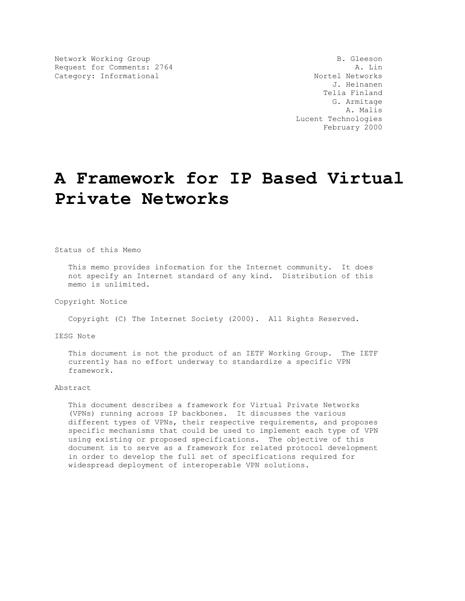Network Working Group<br>Request for Comments: 2764 <br>A. Lin Request for Comments: 2764 <br>Category: Informational and a series are all the Nortel Networks Category: Informational

 J. Heinanen Telia Finland G. Armitage A. Malis Lucent Technologies February 2000

# **A Framework for IP Based Virtual Private Networks**

Status of this Memo

 This memo provides information for the Internet community. It does not specify an Internet standard of any kind. Distribution of this memo is unlimited.

Copyright Notice

Copyright (C) The Internet Society (2000). All Rights Reserved.

IESG Note

 This document is not the product of an IETF Working Group. The IETF currently has no effort underway to standardize a specific VPN framework.

#### Abstract

 This document describes a framework for Virtual Private Networks (VPNs) running across IP backbones. It discusses the various different types of VPNs, their respective requirements, and proposes specific mechanisms that could be used to implement each type of VPN using existing or proposed specifications. The objective of this document is to serve as a framework for related protocol development in order to develop the full set of specifications required for widespread deployment of interoperable VPN solutions.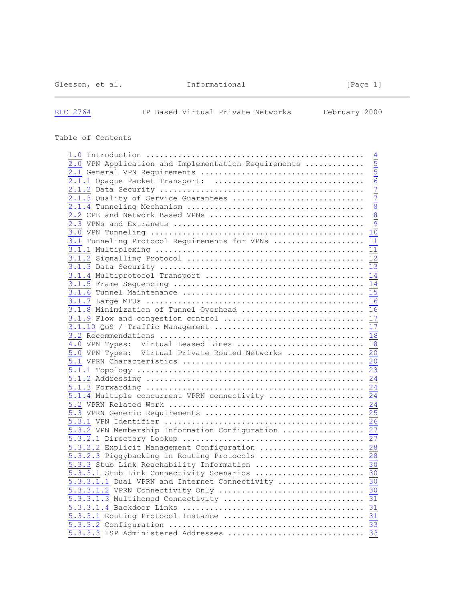Gleeson, et al. Informational [Page 1]

# [RFC 2764](https://tools.ietf.org/html/rfc2764) IP Based Virtual Private Networks February 2000

# Table of Contents

| $\begin{array}{cccc}\n\frac{1.0}{2.0} & \text{Introduction} & \dots & \dots & \dots & \dots & \dots & \dots & \dots & \frac{4}{5} \\ \hline\n\frac{2.1}{2.1} & \text{General VPN Required} & \text{Required number} & \text{Required number} & \text{Required number} & \text{Required number} & \text{Required number} & \text{Required number} & \text{Required number} & \text{Required number} & \text{Required number} & \text{Required number} & \text{Required number} & \text{Required number} & \text{Required number} & \text{Required number} & \text{Required number} & \text{distance number} & \text{distance number} & \text{distance number} & \text{distance number} & \text{distance number} &$ |    |
|-------------------------------------------------------------------------------------------------------------------------------------------------------------------------------------------------------------------------------------------------------------------------------------------------------------------------------------------------------------------------------------------------------------------------------------------------------------------------------------------------------------------------------------------------------------------------------------------------------------------------------------------------------------------------------------------------------------------|----|
| 3.1 Tunneling Protocol Requirements for VPNs                                                                                                                                                                                                                                                                                                                                                                                                                                                                                                                                                                                                                                                                      | 11 |
|                                                                                                                                                                                                                                                                                                                                                                                                                                                                                                                                                                                                                                                                                                                   |    |
|                                                                                                                                                                                                                                                                                                                                                                                                                                                                                                                                                                                                                                                                                                                   |    |
|                                                                                                                                                                                                                                                                                                                                                                                                                                                                                                                                                                                                                                                                                                                   |    |
|                                                                                                                                                                                                                                                                                                                                                                                                                                                                                                                                                                                                                                                                                                                   |    |
|                                                                                                                                                                                                                                                                                                                                                                                                                                                                                                                                                                                                                                                                                                                   |    |
|                                                                                                                                                                                                                                                                                                                                                                                                                                                                                                                                                                                                                                                                                                                   |    |
|                                                                                                                                                                                                                                                                                                                                                                                                                                                                                                                                                                                                                                                                                                                   |    |
|                                                                                                                                                                                                                                                                                                                                                                                                                                                                                                                                                                                                                                                                                                                   |    |
|                                                                                                                                                                                                                                                                                                                                                                                                                                                                                                                                                                                                                                                                                                                   |    |
| 3.1.9 Flow and congestion control  17                                                                                                                                                                                                                                                                                                                                                                                                                                                                                                                                                                                                                                                                             |    |
|                                                                                                                                                                                                                                                                                                                                                                                                                                                                                                                                                                                                                                                                                                                   |    |
|                                                                                                                                                                                                                                                                                                                                                                                                                                                                                                                                                                                                                                                                                                                   |    |
| 4.0 VPN Types: Virtual Leased Lines  18                                                                                                                                                                                                                                                                                                                                                                                                                                                                                                                                                                                                                                                                           |    |
| 5.0 VPN Types: Virtual Private Routed Networks  20                                                                                                                                                                                                                                                                                                                                                                                                                                                                                                                                                                                                                                                                |    |
|                                                                                                                                                                                                                                                                                                                                                                                                                                                                                                                                                                                                                                                                                                                   |    |
|                                                                                                                                                                                                                                                                                                                                                                                                                                                                                                                                                                                                                                                                                                                   |    |
|                                                                                                                                                                                                                                                                                                                                                                                                                                                                                                                                                                                                                                                                                                                   |    |
|                                                                                                                                                                                                                                                                                                                                                                                                                                                                                                                                                                                                                                                                                                                   |    |
| $\overline{5.1.4}$ Multiple concurrent VPRN connectivity  24                                                                                                                                                                                                                                                                                                                                                                                                                                                                                                                                                                                                                                                      |    |
|                                                                                                                                                                                                                                                                                                                                                                                                                                                                                                                                                                                                                                                                                                                   |    |
|                                                                                                                                                                                                                                                                                                                                                                                                                                                                                                                                                                                                                                                                                                                   |    |
|                                                                                                                                                                                                                                                                                                                                                                                                                                                                                                                                                                                                                                                                                                                   |    |
| $\overline{5.3.2}$ VPN Membership Information Configuration  27                                                                                                                                                                                                                                                                                                                                                                                                                                                                                                                                                                                                                                                   |    |
|                                                                                                                                                                                                                                                                                                                                                                                                                                                                                                                                                                                                                                                                                                                   |    |
| 5.3.2.2 Explicit Management Configuration  28                                                                                                                                                                                                                                                                                                                                                                                                                                                                                                                                                                                                                                                                     |    |
| 5.3.2.3 Piggybacking in Routing Protocols  28                                                                                                                                                                                                                                                                                                                                                                                                                                                                                                                                                                                                                                                                     |    |
|                                                                                                                                                                                                                                                                                                                                                                                                                                                                                                                                                                                                                                                                                                                   |    |
| 5.3.3.1 Stub Link Connectivity Scenarios  30                                                                                                                                                                                                                                                                                                                                                                                                                                                                                                                                                                                                                                                                      |    |
| 5.3.3.1.1 Dual VPRN and Internet Connectivity  30                                                                                                                                                                                                                                                                                                                                                                                                                                                                                                                                                                                                                                                                 |    |
|                                                                                                                                                                                                                                                                                                                                                                                                                                                                                                                                                                                                                                                                                                                   |    |
|                                                                                                                                                                                                                                                                                                                                                                                                                                                                                                                                                                                                                                                                                                                   |    |
|                                                                                                                                                                                                                                                                                                                                                                                                                                                                                                                                                                                                                                                                                                                   |    |
|                                                                                                                                                                                                                                                                                                                                                                                                                                                                                                                                                                                                                                                                                                                   |    |
|                                                                                                                                                                                                                                                                                                                                                                                                                                                                                                                                                                                                                                                                                                                   |    |
|                                                                                                                                                                                                                                                                                                                                                                                                                                                                                                                                                                                                                                                                                                                   |    |
|                                                                                                                                                                                                                                                                                                                                                                                                                                                                                                                                                                                                                                                                                                                   |    |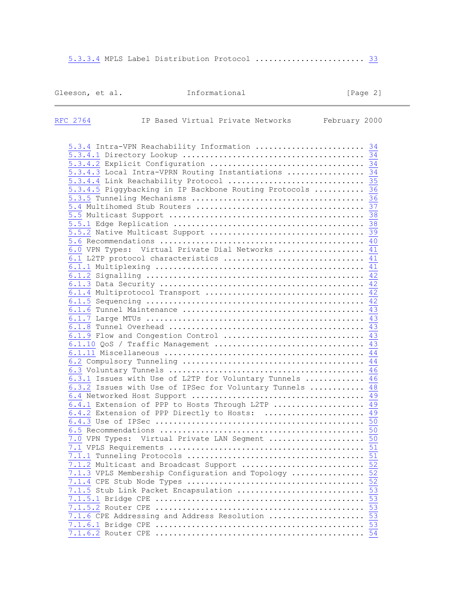[5.3.3.4](https://tools.ietf.org/html/rfc2764#section-5.3.3.4) MPLS Label Distribution Protocol ............................. [33](https://tools.ietf.org/html/rfc2764#page-33)

# Gleeson, et al. Informational [Page 2]

| RFC 2764 | IP Based Virtual Private Networks                                                                                                                                                                          | February 2000 |
|----------|------------------------------------------------------------------------------------------------------------------------------------------------------------------------------------------------------------|---------------|
|          | 5.3.4 Intra-VPN Reachability Information  34<br>5.3.4.3 Local Intra-VPRN Routing Instantiations  34<br>5.3.4.4 Link Reachability Protocol  35<br>5.3.4.5 Piggybacking in IP Backbone Routing Protocols  36 |               |
|          | 6.0 VPN Types: Virtual Private Dial Networks  41<br>6.1 L2TP protocol characteristics  41                                                                                                                  |               |
|          |                                                                                                                                                                                                            |               |
|          | 6.1.9 Flow and Congestion Control  43                                                                                                                                                                      |               |
|          | 6.3.1 Issues with Use of L2TP for Voluntary Tunnels  46<br>6.3.2 Issues with Use of IPSec for Voluntary Tunnels  48<br>6.4.1 Extension of PPP to Hosts Through L2TP $\overline{49}$                        |               |
|          | 6.4.2 Extension of PPP Directly to Hosts:  49<br>7.0 VPN Types: Virtual Private LAN Segment  50                                                                                                            | 51            |
|          | 7.1.3 VPLS Membership Configuration and Topology  52<br>7.1.5 Stub Link Packet Encapsulation  53                                                                                                           |               |
|          | 7.1.6 CPE Addressing and Address Resolution  53                                                                                                                                                            |               |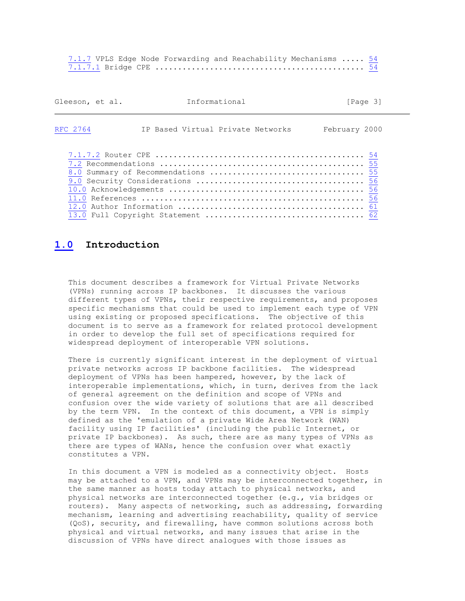[7.1.7](https://tools.ietf.org/html/rfc2764#section-7.1.7) VPLS Edge Node Forwarding and Reachability Mechanisms ..... [54](https://tools.ietf.org/html/rfc2764#page-54) [7.1.7.1](https://tools.ietf.org/html/rfc2764#section-7.1.7.1) Bridge CPE .............................................. [54](https://tools.ietf.org/html/rfc2764#page-54)

| Gleeson, et al. | Informational                     | [Paqe 3]      |
|-----------------|-----------------------------------|---------------|
| RFC 2764        | IP Based Virtual Private Networks | February 2000 |
|                 |                                   |               |

# **[1.0](https://tools.ietf.org/html/rfc2764#section-1.0) Introduction**

 This document describes a framework for Virtual Private Networks (VPNs) running across IP backbones. It discusses the various different types of VPNs, their respective requirements, and proposes specific mechanisms that could be used to implement each type of VPN using existing or proposed specifications. The objective of this document is to serve as a framework for related protocol development in order to develop the full set of specifications required for widespread deployment of interoperable VPN solutions.

 There is currently significant interest in the deployment of virtual private networks across IP backbone facilities. The widespread deployment of VPNs has been hampered, however, by the lack of interoperable implementations, which, in turn, derives from the lack of general agreement on the definition and scope of VPNs and confusion over the wide variety of solutions that are all described by the term VPN. In the context of this document, a VPN is simply defined as the 'emulation of a private Wide Area Network (WAN) facility using IP facilities' (including the public Internet, or private IP backbones). As such, there are as many types of VPNs as there are types of WANs, hence the confusion over what exactly constitutes a VPN.

 In this document a VPN is modeled as a connectivity object. Hosts may be attached to a VPN, and VPNs may be interconnected together, in the same manner as hosts today attach to physical networks, and physical networks are interconnected together (e.g., via bridges or routers). Many aspects of networking, such as addressing, forwarding mechanism, learning and advertising reachability, quality of service (QoS), security, and firewalling, have common solutions across both physical and virtual networks, and many issues that arise in the discussion of VPNs have direct analogues with those issues as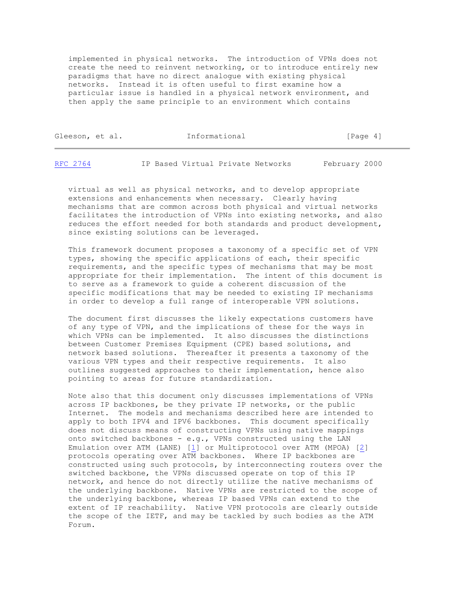implemented in physical networks. The introduction of VPNs does not create the need to reinvent networking, or to introduce entirely new paradigms that have no direct analogue with existing physical networks. Instead it is often useful to first examine how a particular issue is handled in a physical network environment, and then apply the same principle to an environment which contains

| Gleeson, et al. |  | Informational | [Page 4] |  |
|-----------------|--|---------------|----------|--|
|                 |  |               |          |  |

| February 2000<br>RFC 2764<br>IP Based Virtual Private Networks |  |
|----------------------------------------------------------------|--|
|----------------------------------------------------------------|--|

 virtual as well as physical networks, and to develop appropriate extensions and enhancements when necessary. Clearly having mechanisms that are common across both physical and virtual networks facilitates the introduction of VPNs into existing networks, and also reduces the effort needed for both standards and product development, since existing solutions can be leveraged.

 This framework document proposes a taxonomy of a specific set of VPN types, showing the specific applications of each, their specific requirements, and the specific types of mechanisms that may be most appropriate for their implementation. The intent of this document is to serve as a framework to guide a coherent discussion of the specific modifications that may be needed to existing IP mechanisms in order to develop a full range of interoperable VPN solutions.

 The document first discusses the likely expectations customers have of any type of VPN, and the implications of these for the ways in which VPNs can be implemented. It also discusses the distinctions between Customer Premises Equipment (CPE) based solutions, and network based solutions. Thereafter it presents a taxonomy of the various VPN types and their respective requirements. It also outlines suggested approaches to their implementation, hence also pointing to areas for future standardization.

 Note also that this document only discusses implementations of VPNs across IP backbones, be they private IP networks, or the public Internet. The models and mechanisms described here are intended to apply to both IPV4 and IPV6 backbones. This document specifically does not discuss means of constructing VPNs using native mappings onto switched backbones - e.g., VPNs constructed using the LAN Emulation over ATM (LANE) [\[1\]](https://tools.ietf.org/html/rfc2764#ref-1) or Multiprotocol over ATM (MPOA) [\[2\]](https://tools.ietf.org/html/rfc2764#ref-2) protocols operating over ATM backbones. Where IP backbones are constructed using such protocols, by interconnecting routers over the switched backbone, the VPNs discussed operate on top of this IP network, and hence do not directly utilize the native mechanisms of the underlying backbone. Native VPNs are restricted to the scope of the underlying backbone, whereas IP based VPNs can extend to the extent of IP reachability. Native VPN protocols are clearly outside the scope of the IETF, and may be tackled by such bodies as the ATM Forum.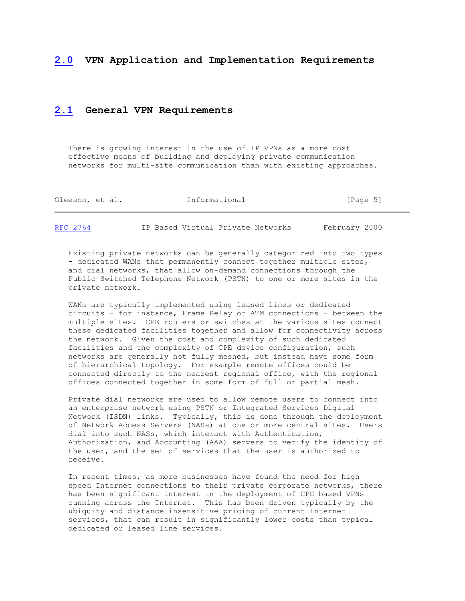#### **[2.0](https://tools.ietf.org/html/rfc2764#section-2.0) VPN Application and Implementation Requirements**

# **[2.1](https://tools.ietf.org/html/rfc2764#section-2.1) General VPN Requirements**

 There is growing interest in the use of IP VPNs as a more cost effective means of building and deploying private communication networks for multi-site communication than with existing approaches.

| Gleeson, et al. | Informational | [Page 5] |  |
|-----------------|---------------|----------|--|
|                 |               |          |  |

[RFC 2764](https://tools.ietf.org/html/rfc2764) IP Based Virtual Private Networks February 2000

 Existing private networks can be generally categorized into two types - dedicated WANs that permanently connect together multiple sites, and dial networks, that allow on-demand connections through the Public Switched Telephone Network (PSTN) to one or more sites in the private network.

 WANs are typically implemented using leased lines or dedicated circuits - for instance, Frame Relay or ATM connections - between the multiple sites. CPE routers or switches at the various sites connect these dedicated facilities together and allow for connectivity across the network. Given the cost and complexity of such dedicated facilities and the complexity of CPE device configuration, such networks are generally not fully meshed, but instead have some form of hierarchical topology. For example remote offices could be connected directly to the nearest regional office, with the regional offices connected together in some form of full or partial mesh.

 Private dial networks are used to allow remote users to connect into an enterprise network using PSTN or Integrated Services Digital Network (ISDN) links. Typically, this is done through the deployment of Network Access Servers (NASs) at one or more central sites. Users dial into such NASs, which interact with Authentication, Authorization, and Accounting (AAA) servers to verify the identity of the user, and the set of services that the user is authorized to receive.

 In recent times, as more businesses have found the need for high speed Internet connections to their private corporate networks, there has been significant interest in the deployment of CPE based VPNs running across the Internet. This has been driven typically by the ubiquity and distance insensitive pricing of current Internet services, that can result in significantly lower costs than typical dedicated or leased line services.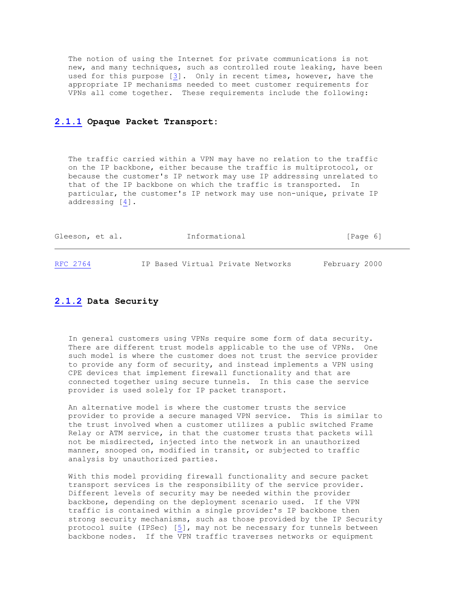The notion of using the Internet for private communications is not new, and many techniques, such as controlled route leaking, have been used for this purpose [\[3\]](https://tools.ietf.org/html/rfc2764#ref-3). Only in recent times, however, have the appropriate IP mechanisms needed to meet customer requirements for VPNs all come together. These requirements include the following:

#### **[2.1.1](https://tools.ietf.org/html/rfc2764#section-2.1.1) Opaque Packet Transport:**

 The traffic carried within a VPN may have no relation to the traffic on the IP backbone, either because the traffic is multiprotocol, or because the customer's IP network may use IP addressing unrelated to that of the IP backbone on which the traffic is transported. In particular, the customer's IP network may use non-unique, private IP addressing [\[4\]](https://tools.ietf.org/html/rfc2764#ref-4).

| Gleeson, et al. | Informational                     | [Page 6]      |
|-----------------|-----------------------------------|---------------|
| RFC 2764        | IP Based Virtual Private Networks | February 2000 |

# **[2.1.2](https://tools.ietf.org/html/rfc2764#section-2.1.2) Data Security**

 In general customers using VPNs require some form of data security. There are different trust models applicable to the use of VPNs. One such model is where the customer does not trust the service provider to provide any form of security, and instead implements a VPN using CPE devices that implement firewall functionality and that are connected together using secure tunnels. In this case the service provider is used solely for IP packet transport.

 An alternative model is where the customer trusts the service provider to provide a secure managed VPN service. This is similar to the trust involved when a customer utilizes a public switched Frame Relay or ATM service, in that the customer trusts that packets will not be misdirected, injected into the network in an unauthorized manner, snooped on, modified in transit, or subjected to traffic analysis by unauthorized parties.

 With this model providing firewall functionality and secure packet transport services is the responsibility of the service provider. Different levels of security may be needed within the provider backbone, depending on the deployment scenario used. If the VPN traffic is contained within a single provider's IP backbone then strong security mechanisms, such as those provided by the IP Security protocol suite (IPSec) [\[5\]](https://tools.ietf.org/html/rfc2764#ref-5), may not be necessary for tunnels between backbone nodes. If the VPN traffic traverses networks or equipment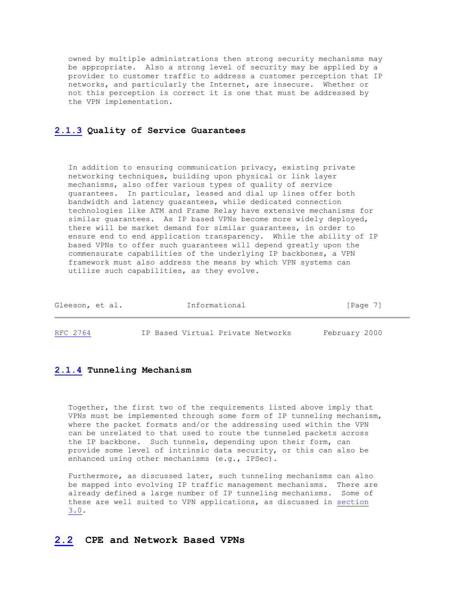owned by multiple administrations then strong security mechanisms may be appropriate. Also a strong level of security may be applied by a provider to customer traffic to address a customer perception that IP networks, and particularly the Internet, are insecure. Whether or not this perception is correct it is one that must be addressed by the VPN implementation.

#### **[2.1.3](https://tools.ietf.org/html/rfc2764#section-2.1.3) Quality of Service Guarantees**

 In addition to ensuring communication privacy, existing private networking techniques, building upon physical or link layer mechanisms, also offer various types of quality of service guarantees. In particular, leased and dial up lines offer both bandwidth and latency guarantees, while dedicated connection technologies like ATM and Frame Relay have extensive mechanisms for similar guarantees. As IP based VPNs become more widely deployed, there will be market demand for similar guarantees, in order to ensure end to end application transparency. While the ability of IP based VPNs to offer such guarantees will depend greatly upon the commensurate capabilities of the underlying IP backbones, a VPN framework must also address the means by which VPN systems can utilize such capabilities, as they evolve.

| Gleeson, et al. | Informational                     | [Page 7]      |
|-----------------|-----------------------------------|---------------|
| RFC 2764        | IP Based Virtual Private Networks | February 2000 |

#### **[2.1.4](https://tools.ietf.org/html/rfc2764#section-2.1.4) Tunneling Mechanism**

 Together, the first two of the requirements listed above imply that VPNs must be implemented through some form of IP tunneling mechanism, where the packet formats and/or the addressing used within the VPN can be unrelated to that used to route the tunneled packets across the IP backbone. Such tunnels, depending upon their form, can provide some level of intrinsic data security, or this can also be enhanced using other mechanisms (e.g., IPSec).

 Furthermore, as discussed later, such tunneling mechanisms can also be mapped into evolving IP traffic management mechanisms. There are already defined a large number of IP tunneling mechanisms. Some of these are well suited to VPN applications, as discussed in [section](https://tools.ietf.org/html/rfc2764#section-3.0) [3.0.](https://tools.ietf.org/html/rfc2764#section-3.0)

# **[2.2](https://tools.ietf.org/html/rfc2764#section-2.2) CPE and Network Based VPNs**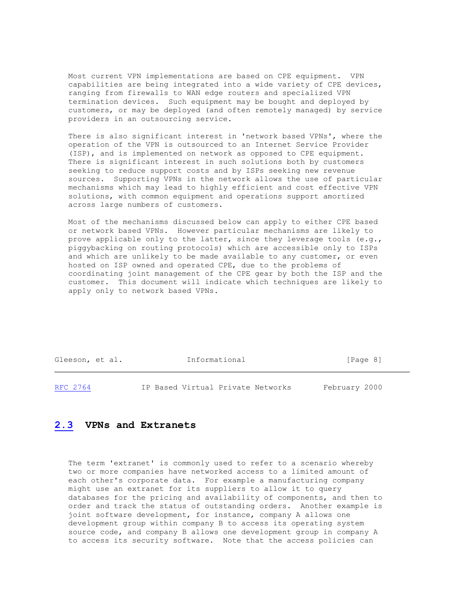Most current VPN implementations are based on CPE equipment. VPN capabilities are being integrated into a wide variety of CPE devices, ranging from firewalls to WAN edge routers and specialized VPN termination devices. Such equipment may be bought and deployed by customers, or may be deployed (and often remotely managed) by service providers in an outsourcing service.

 There is also significant interest in 'network based VPNs', where the operation of the VPN is outsourced to an Internet Service Provider (ISP), and is implemented on network as opposed to CPE equipment. There is significant interest in such solutions both by customers seeking to reduce support costs and by ISPs seeking new revenue sources. Supporting VPNs in the network allows the use of particular mechanisms which may lead to highly efficient and cost effective VPN solutions, with common equipment and operations support amortized across large numbers of customers.

 Most of the mechanisms discussed below can apply to either CPE based or network based VPNs. However particular mechanisms are likely to prove applicable only to the latter, since they leverage tools (e.g., piggybacking on routing protocols) which are accessible only to ISPs and which are unlikely to be made available to any customer, or even hosted on ISP owned and operated CPE, due to the problems of coordinating joint management of the CPE gear by both the ISP and the customer. This document will indicate which techniques are likely to apply only to network based VPNs.

Gleeson, et al. **Informational** [Page 8]

[RFC 2764](https://tools.ietf.org/html/rfc2764) IP Based Virtual Private Networks February 2000

# **[2.3](https://tools.ietf.org/html/rfc2764#section-2.3) VPNs and Extranets**

 The term 'extranet' is commonly used to refer to a scenario whereby two or more companies have networked access to a limited amount of each other's corporate data. For example a manufacturing company might use an extranet for its suppliers to allow it to query databases for the pricing and availability of components, and then to order and track the status of outstanding orders. Another example is joint software development, for instance, company A allows one development group within company B to access its operating system source code, and company B allows one development group in company A to access its security software. Note that the access policies can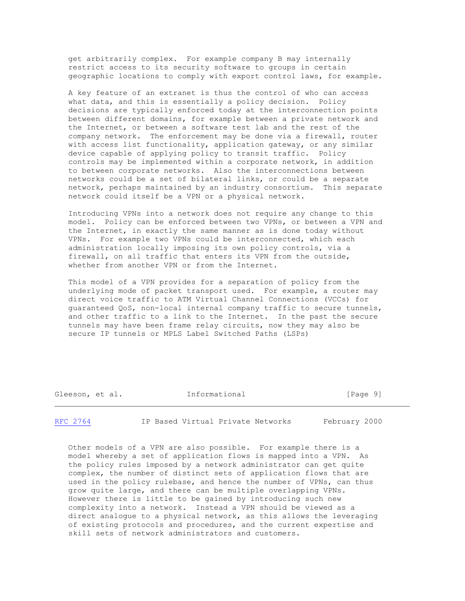get arbitrarily complex. For example company B may internally restrict access to its security software to groups in certain geographic locations to comply with export control laws, for example.

 A key feature of an extranet is thus the control of who can access what data, and this is essentially a policy decision. Policy decisions are typically enforced today at the interconnection points between different domains, for example between a private network and the Internet, or between a software test lab and the rest of the company network. The enforcement may be done via a firewall, router with access list functionality, application gateway, or any similar device capable of applying policy to transit traffic. Policy controls may be implemented within a corporate network, in addition to between corporate networks. Also the interconnections between networks could be a set of bilateral links, or could be a separate network, perhaps maintained by an industry consortium. This separate network could itself be a VPN or a physical network.

 Introducing VPNs into a network does not require any change to this model. Policy can be enforced between two VPNs, or between a VPN and the Internet, in exactly the same manner as is done today without VPNs. For example two VPNs could be interconnected, which each administration locally imposing its own policy controls, via a firewall, on all traffic that enters its VPN from the outside, whether from another VPN or from the Internet.

 This model of a VPN provides for a separation of policy from the underlying mode of packet transport used. For example, a router may direct voice traffic to ATM Virtual Channel Connections (VCCs) for guaranteed QoS, non-local internal company traffic to secure tunnels, and other traffic to a link to the Internet. In the past the secure tunnels may have been frame relay circuits, now they may also be secure IP tunnels or MPLS Label Switched Paths (LSPs)

| Gleeson, et al. |  | Informational | [Page 9] |  |
|-----------------|--|---------------|----------|--|
|-----------------|--|---------------|----------|--|

[RFC 2764](https://tools.ietf.org/html/rfc2764) IP Based Virtual Private Networks February 2000

 Other models of a VPN are also possible. For example there is a model whereby a set of application flows is mapped into a VPN. As the policy rules imposed by a network administrator can get quite complex, the number of distinct sets of application flows that are used in the policy rulebase, and hence the number of VPNs, can thus grow quite large, and there can be multiple overlapping VPNs. However there is little to be gained by introducing such new complexity into a network. Instead a VPN should be viewed as a direct analogue to a physical network, as this allows the leveraging of existing protocols and procedures, and the current expertise and skill sets of network administrators and customers.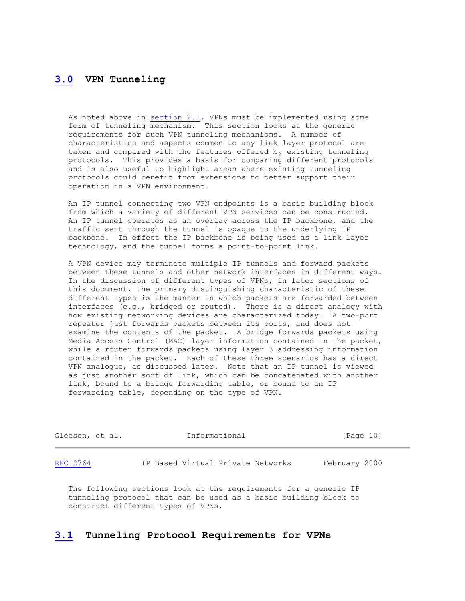# **[3.0](https://tools.ietf.org/html/rfc2764#section-3.0) VPN Tunneling**

 As noted above in [section 2.1,](https://tools.ietf.org/html/rfc2764#section-2.1) VPNs must be implemented using some form of tunneling mechanism. This section looks at the generic requirements for such VPN tunneling mechanisms. A number of characteristics and aspects common to any link layer protocol are taken and compared with the features offered by existing tunneling protocols. This provides a basis for comparing different protocols and is also useful to highlight areas where existing tunneling protocols could benefit from extensions to better support their operation in a VPN environment.

 An IP tunnel connecting two VPN endpoints is a basic building block from which a variety of different VPN services can be constructed. An IP tunnel operates as an overlay across the IP backbone, and the traffic sent through the tunnel is opaque to the underlying IP backbone. In effect the IP backbone is being used as a link layer technology, and the tunnel forms a point-to-point link.

 A VPN device may terminate multiple IP tunnels and forward packets between these tunnels and other network interfaces in different ways. In the discussion of different types of VPNs, in later sections of this document, the primary distinguishing characteristic of these different types is the manner in which packets are forwarded between interfaces (e.g., bridged or routed). There is a direct analogy with how existing networking devices are characterized today. A two-port repeater just forwards packets between its ports, and does not examine the contents of the packet. A bridge forwards packets using Media Access Control (MAC) layer information contained in the packet, while a router forwards packets using layer 3 addressing information contained in the packet. Each of these three scenarios has a direct VPN analogue, as discussed later. Note that an IP tunnel is viewed as just another sort of link, which can be concatenated with another link, bound to a bridge forwarding table, or bound to an IP forwarding table, depending on the type of VPN.

| Gleeson, et al. | Informational |                                   | [Page 10]     |  |
|-----------------|---------------|-----------------------------------|---------------|--|
| RFC 2764        |               | IP Based Virtual Private Networks | February 2000 |  |

 The following sections look at the requirements for a generic IP tunneling protocol that can be used as a basic building block to construct different types of VPNs.

# **[3.1](https://tools.ietf.org/html/rfc2764#section-3.1) Tunneling Protocol Requirements for VPNs**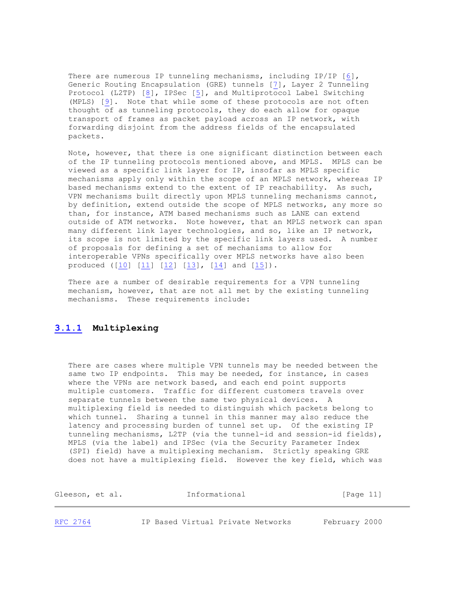There are numerous IP tunneling mechanisms, including IP/IP [\[6\]](https://tools.ietf.org/html/rfc2764#ref-6), Generic Routing Encapsulation (GRE) tunnels [\[7\]](https://tools.ietf.org/html/rfc2764#ref-7), Layer 2 Tunneling Protocol (L2TP) [\[8\]](https://tools.ietf.org/html/rfc2764#ref-8), IPSec [\[5\]](https://tools.ietf.org/html/rfc2764#ref-5), and Multiprotocol Label Switching (MPLS) [\[9\]](https://tools.ietf.org/html/rfc2764#ref-9). Note that while some of these protocols are not often thought of as tunneling protocols, they do each allow for opaque transport of frames as packet payload across an IP network, with forwarding disjoint from the address fields of the encapsulated packets.

 Note, however, that there is one significant distinction between each of the IP tunneling protocols mentioned above, and MPLS. MPLS can be viewed as a specific link layer for IP, insofar as MPLS specific mechanisms apply only within the scope of an MPLS network, whereas IP based mechanisms extend to the extent of IP reachability. As such, VPN mechanisms built directly upon MPLS tunneling mechanisms cannot, by definition, extend outside the scope of MPLS networks, any more so than, for instance, ATM based mechanisms such as LANE can extend outside of ATM networks. Note however, that an MPLS network can span many different link layer technologies, and so, like an IP network, its scope is not limited by the specific link layers used. A number of proposals for defining a set of mechanisms to allow for interoperable VPNs specifically over MPLS networks have also been produced ( $[10]$   $[11]$   $[12]$   $[13]$ ,  $[14]$  and  $[15]$ ).

 There are a number of desirable requirements for a VPN tunneling mechanism, however, that are not all met by the existing tunneling mechanisms. These requirements include:

# **[3.1.1](https://tools.ietf.org/html/rfc2764#section-3.1.1) Multiplexing**

 There are cases where multiple VPN tunnels may be needed between the same two IP endpoints. This may be needed, for instance, in cases where the VPNs are network based, and each end point supports multiple customers. Traffic for different customers travels over separate tunnels between the same two physical devices. A multiplexing field is needed to distinguish which packets belong to which tunnel. Sharing a tunnel in this manner may also reduce the latency and processing burden of tunnel set up. Of the existing IP tunneling mechanisms, L2TP (via the tunnel-id and session-id fields), MPLS (via the label) and IPSec (via the Security Parameter Index (SPI) field) have a multiplexing mechanism. Strictly speaking GRE does not have a multiplexing field. However the key field, which was

| Gleeson, et al. | Informational                     | [Page 11]     |  |
|-----------------|-----------------------------------|---------------|--|
| RFC 2764        | IP Based Virtual Private Networks | February 2000 |  |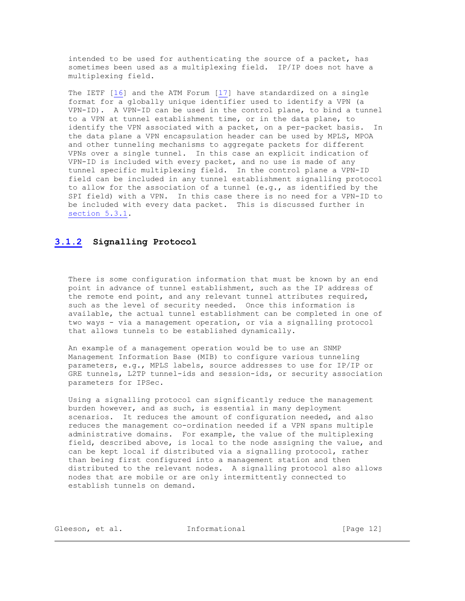intended to be used for authenticating the source of a packet, has sometimes been used as a multiplexing field. IP/IP does not have a multiplexing field.

 The IETF [\[16\]](https://tools.ietf.org/html/rfc2764#ref-16) and the ATM Forum [\[17\]](https://tools.ietf.org/html/rfc2764#ref-17) have standardized on a single format for a globally unique identifier used to identify a VPN (a VPN-ID). A VPN-ID can be used in the control plane, to bind a tunnel to a VPN at tunnel establishment time, or in the data plane, to identify the VPN associated with a packet, on a per-packet basis. In the data plane a VPN encapsulation header can be used by MPLS, MPOA and other tunneling mechanisms to aggregate packets for different VPNs over a single tunnel. In this case an explicit indication of VPN-ID is included with every packet, and no use is made of any tunnel specific multiplexing field. In the control plane a VPN-ID field can be included in any tunnel establishment signalling protocol to allow for the association of a tunnel (e.g., as identified by the SPI field) with a VPN. In this case there is no need for a VPN-ID to be included with every data packet. This is discussed further in [section 5.3.1.](https://tools.ietf.org/html/rfc2764#section-5.3.1)

# **[3.1.2](https://tools.ietf.org/html/rfc2764#section-3.1.2) Signalling Protocol**

There is some configuration information that must be known by an end point in advance of tunnel establishment, such as the IP address of the remote end point, and any relevant tunnel attributes required, such as the level of security needed. Once this information is available, the actual tunnel establishment can be completed in one of two ways - via a management operation, or via a signalling protocol that allows tunnels to be established dynamically.

 An example of a management operation would be to use an SNMP Management Information Base (MIB) to configure various tunneling parameters, e.g., MPLS labels, source addresses to use for IP/IP or GRE tunnels, L2TP tunnel-ids and session-ids, or security association parameters for IPSec.

 Using a signalling protocol can significantly reduce the management burden however, and as such, is essential in many deployment scenarios. It reduces the amount of configuration needed, and also reduces the management co-ordination needed if a VPN spans multiple administrative domains. For example, the value of the multiplexing field, described above, is local to the node assigning the value, and can be kept local if distributed via a signalling protocol, rather than being first configured into a management station and then distributed to the relevant nodes. A signalling protocol also allows nodes that are mobile or are only intermittently connected to establish tunnels on demand.

| Gleeson, et al. |  | Informational | [Paqe 12] |  |
|-----------------|--|---------------|-----------|--|
|                 |  |               |           |  |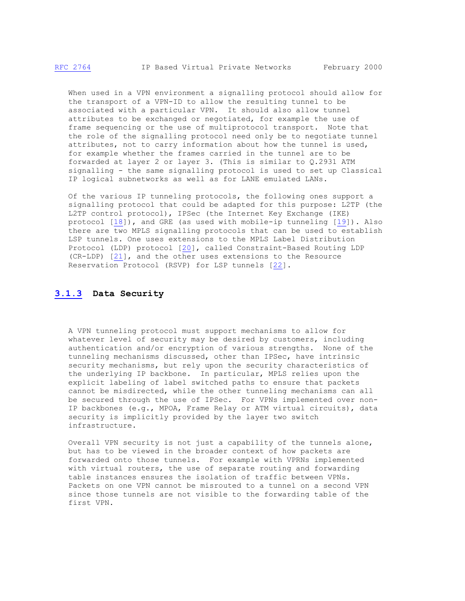When used in a VPN environment a signalling protocol should allow for the transport of a VPN-ID to allow the resulting tunnel to be associated with a particular VPN. It should also allow tunnel attributes to be exchanged or negotiated, for example the use of frame sequencing or the use of multiprotocol transport. Note that the role of the signalling protocol need only be to negotiate tunnel attributes, not to carry information about how the tunnel is used, for example whether the frames carried in the tunnel are to be forwarded at layer 2 or layer 3. (This is similar to Q.2931 ATM signalling - the same signalling protocol is used to set up Classical IP logical subnetworks as well as for LANE emulated LANs.

 Of the various IP tunneling protocols, the following ones support a signalling protocol that could be adapted for this purpose: L2TP (the L2TP control protocol), IPSec (the Internet Key Exchange (IKE) protocol [\[18\]](https://tools.ietf.org/html/rfc2764#ref-18)), and GRE (as used with mobile-ip tunneling [\[19\]](https://tools.ietf.org/html/rfc2764#ref-19)). Also there are two MPLS signalling protocols that can be used to establish LSP tunnels. One uses extensions to the MPLS Label Distribution Protocol (LDP) protocol [\[20\]](https://tools.ietf.org/html/rfc2764#ref-20), called Constraint-Based Routing LDP (CR-LDP) [\[21\]](https://tools.ietf.org/html/rfc2764#ref-21), and the other uses extensions to the Resource Reservation Protocol (RSVP) for LSP tunnels [\[22\]](https://tools.ietf.org/html/rfc2764#ref-22).

#### **[3.1.3](https://tools.ietf.org/html/rfc2764#section-3.1.3) Data Security**

 A VPN tunneling protocol must support mechanisms to allow for whatever level of security may be desired by customers, including authentication and/or encryption of various strengths. None of the tunneling mechanisms discussed, other than IPSec, have intrinsic security mechanisms, but rely upon the security characteristics of the underlying IP backbone. In particular, MPLS relies upon the explicit labeling of label switched paths to ensure that packets cannot be misdirected, while the other tunneling mechanisms can all be secured through the use of IPSec. For VPNs implemented over non- IP backbones (e.g., MPOA, Frame Relay or ATM virtual circuits), data security is implicitly provided by the layer two switch infrastructure.

 Overall VPN security is not just a capability of the tunnels alone, but has to be viewed in the broader context of how packets are forwarded onto those tunnels. For example with VPRNs implemented with virtual routers, the use of separate routing and forwarding table instances ensures the isolation of traffic between VPNs. Packets on one VPN cannot be misrouted to a tunnel on a second VPN since those tunnels are not visible to the forwarding table of the first VPN.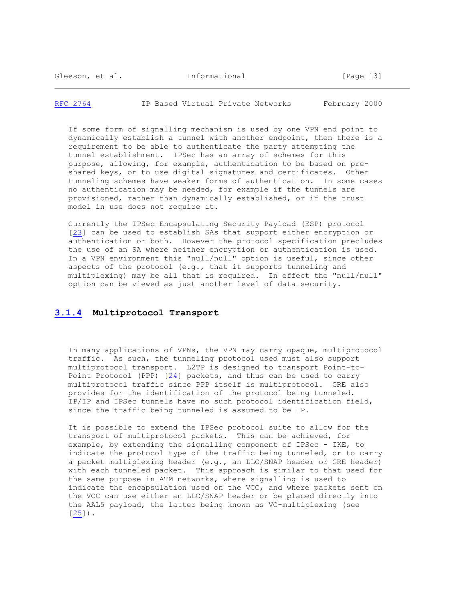[RFC 2764](https://tools.ietf.org/html/rfc2764) IP Based Virtual Private Networks February 2000

 If some form of signalling mechanism is used by one VPN end point to dynamically establish a tunnel with another endpoint, then there is a requirement to be able to authenticate the party attempting the tunnel establishment. IPSec has an array of schemes for this purpose, allowing, for example, authentication to be based on pre shared keys, or to use digital signatures and certificates. Other tunneling schemes have weaker forms of authentication. In some cases no authentication may be needed, for example if the tunnels are provisioned, rather than dynamically established, or if the trust model in use does not require it.

 Currently the IPSec Encapsulating Security Payload (ESP) protocol [\[23\]](https://tools.ietf.org/html/rfc2764#ref-23) can be used to establish SAs that support either encryption or authentication or both. However the protocol specification precludes the use of an SA where neither encryption or authentication is used. In a VPN environment this "null/null" option is useful, since other aspects of the protocol (e.g., that it supports tunneling and multiplexing) may be all that is required. In effect the "null/null" option can be viewed as just another level of data security.

#### **[3.1.4](https://tools.ietf.org/html/rfc2764#section-3.1.4) Multiprotocol Transport**

 In many applications of VPNs, the VPN may carry opaque, multiprotocol traffic. As such, the tunneling protocol used must also support multiprotocol transport. L2TP is designed to transport Point-to- Point Protocol (PPP) [\[24\]](https://tools.ietf.org/html/rfc2764#ref-24) packets, and thus can be used to carry multiprotocol traffic since PPP itself is multiprotocol. GRE also provides for the identification of the protocol being tunneled. IP/IP and IPSec tunnels have no such protocol identification field, since the traffic being tunneled is assumed to be IP.

 It is possible to extend the IPSec protocol suite to allow for the transport of multiprotocol packets. This can be achieved, for example, by extending the signalling component of IPSec - IKE, to indicate the protocol type of the traffic being tunneled, or to carry a packet multiplexing header (e.g., an LLC/SNAP header or GRE header) with each tunneled packet. This approach is similar to that used for the same purpose in ATM networks, where signalling is used to indicate the encapsulation used on the VCC, and where packets sent on the VCC can use either an LLC/SNAP header or be placed directly into the AAL5 payload, the latter being known as VC-multiplexing (see [\[25\]](https://tools.ietf.org/html/rfc2764#ref-25)).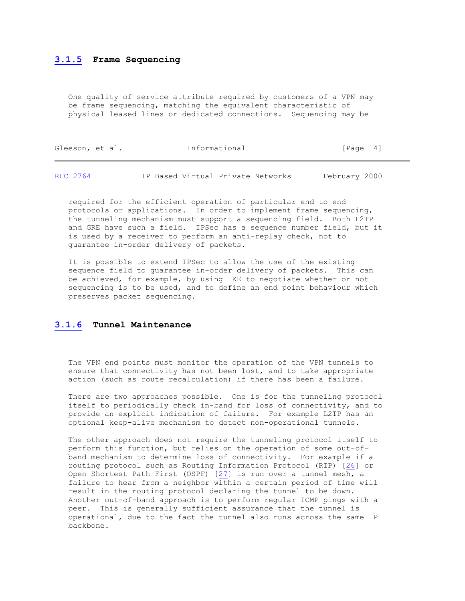#### **[3.1.5](https://tools.ietf.org/html/rfc2764#section-3.1.5) Frame Sequencing**

 One quality of service attribute required by customers of a VPN may be frame sequencing, matching the equivalent characteristic of physical leased lines or dedicated connections. Sequencing may be

| Gleeson, et al. | Informational | [Page 14] |  |
|-----------------|---------------|-----------|--|
|                 |               |           |  |

[RFC 2764](https://tools.ietf.org/html/rfc2764) IP Based Virtual Private Networks February 2000

 required for the efficient operation of particular end to end protocols or applications. In order to implement frame sequencing, the tunneling mechanism must support a sequencing field. Both L2TP and GRE have such a field. IPSec has a sequence number field, but it is used by a receiver to perform an anti-replay check, not to guarantee in-order delivery of packets.

 It is possible to extend IPSec to allow the use of the existing sequence field to guarantee in-order delivery of packets. This can be achieved, for example, by using IKE to negotiate whether or not sequencing is to be used, and to define an end point behaviour which preserves packet sequencing.

#### **[3.1.6](https://tools.ietf.org/html/rfc2764#section-3.1.6) Tunnel Maintenance**

 The VPN end points must monitor the operation of the VPN tunnels to ensure that connectivity has not been lost, and to take appropriate action (such as route recalculation) if there has been a failure.

 There are two approaches possible. One is for the tunneling protocol itself to periodically check in-band for loss of connectivity, and to provide an explicit indication of failure. For example L2TP has an optional keep-alive mechanism to detect non-operational tunnels.

 The other approach does not require the tunneling protocol itself to perform this function, but relies on the operation of some out-of band mechanism to determine loss of connectivity. For example if a routing protocol such as Routing Information Protocol (RIP) [\[26\]](https://tools.ietf.org/html/rfc2764#ref-26) or Open Shortest Path First (OSPF) [\[27\]](https://tools.ietf.org/html/rfc2764#ref-27) is run over a tunnel mesh, a failure to hear from a neighbor within a certain period of time will result in the routing protocol declaring the tunnel to be down. Another out-of-band approach is to perform regular ICMP pings with a peer. This is generally sufficient assurance that the tunnel is operational, due to the fact the tunnel also runs across the same IP backbone.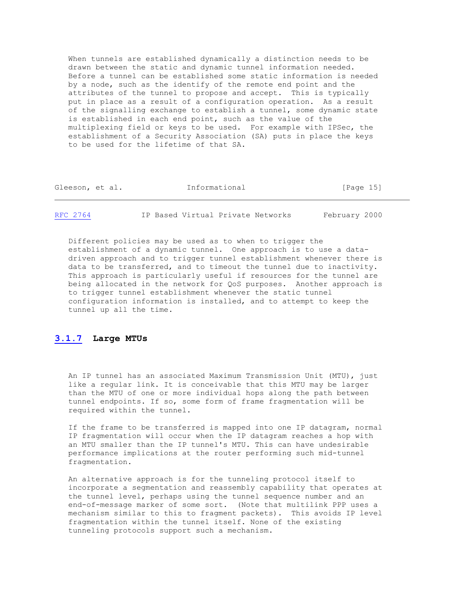When tunnels are established dynamically a distinction needs to be drawn between the static and dynamic tunnel information needed. Before a tunnel can be established some static information is needed by a node, such as the identify of the remote end point and the attributes of the tunnel to propose and accept. This is typically put in place as a result of a configuration operation. As a result of the signalling exchange to establish a tunnel, some dynamic state is established in each end point, such as the value of the multiplexing field or keys to be used. For example with IPSec, the establishment of a Security Association (SA) puts in place the keys to be used for the lifetime of that SA.

| $\sim$<br>GTEESOII, | $\sim$<br>et.<br>a⊥. | _<br>Informational | ∸∸ |
|---------------------|----------------------|--------------------|----|
|                     |                      |                    |    |
|                     |                      |                    |    |

[RFC 2764](https://tools.ietf.org/html/rfc2764) IP Based Virtual Private Networks February 2000

 Different policies may be used as to when to trigger the establishment of a dynamic tunnel. One approach is to use a data driven approach and to trigger tunnel establishment whenever there is data to be transferred, and to timeout the tunnel due to inactivity. This approach is particularly useful if resources for the tunnel are being allocated in the network for QoS purposes. Another approach is to trigger tunnel establishment whenever the static tunnel configuration information is installed, and to attempt to keep the tunnel up all the time.

# **[3.1.7](https://tools.ietf.org/html/rfc2764#section-3.1.7) Large MTUs**

 An IP tunnel has an associated Maximum Transmission Unit (MTU), just like a regular link. It is conceivable that this MTU may be larger than the MTU of one or more individual hops along the path between tunnel endpoints. If so, some form of frame fragmentation will be required within the tunnel.

 If the frame to be transferred is mapped into one IP datagram, normal IP fragmentation will occur when the IP datagram reaches a hop with an MTU smaller than the IP tunnel's MTU. This can have undesirable performance implications at the router performing such mid-tunnel fragmentation.

 An alternative approach is for the tunneling protocol itself to incorporate a segmentation and reassembly capability that operates at the tunnel level, perhaps using the tunnel sequence number and an end-of-message marker of some sort. (Note that multilink PPP uses a mechanism similar to this to fragment packets). This avoids IP level fragmentation within the tunnel itself. None of the existing tunneling protocols support such a mechanism.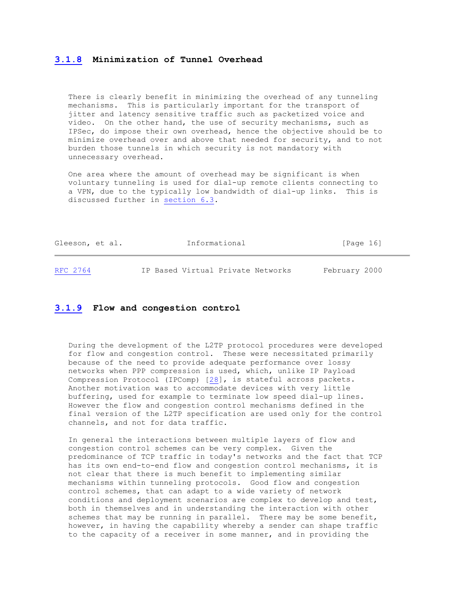#### **[3.1.8](https://tools.ietf.org/html/rfc2764#section-3.1.8) Minimization of Tunnel Overhead**

 There is clearly benefit in minimizing the overhead of any tunneling mechanisms. This is particularly important for the transport of jitter and latency sensitive traffic such as packetized voice and video. On the other hand, the use of security mechanisms, such as IPSec, do impose their own overhead, hence the objective should be to minimize overhead over and above that needed for security, and to not burden those tunnels in which security is not mandatory with unnecessary overhead.

 One area where the amount of overhead may be significant is when voluntary tunneling is used for dial-up remote clients connecting to a VPN, due to the typically low bandwidth of dial-up links. This is discussed further in [section 6.3.](https://tools.ietf.org/html/rfc2764#section-6.3)

| Gleeson, et al. |  | Informational | [Page 16] |  |
|-----------------|--|---------------|-----------|--|
|                 |  |               |           |  |
|                 |  |               |           |  |

[RFC 2764](https://tools.ietf.org/html/rfc2764) IP Based Virtual Private Networks February 2000

#### **[3.1.9](https://tools.ietf.org/html/rfc2764#section-3.1.9) Flow and congestion control**

 During the development of the L2TP protocol procedures were developed for flow and congestion control. These were necessitated primarily because of the need to provide adequate performance over lossy networks when PPP compression is used, which, unlike IP Payload Compression Protocol (IPComp) [\[28\]](https://tools.ietf.org/html/rfc2764#ref-28), is stateful across packets. Another motivation was to accommodate devices with very little buffering, used for example to terminate low speed dial-up lines. However the flow and congestion control mechanisms defined in the final version of the L2TP specification are used only for the control channels, and not for data traffic.

 In general the interactions between multiple layers of flow and congestion control schemes can be very complex. Given the predominance of TCP traffic in today's networks and the fact that TCP has its own end-to-end flow and congestion control mechanisms, it is not clear that there is much benefit to implementing similar mechanisms within tunneling protocols. Good flow and congestion control schemes, that can adapt to a wide variety of network conditions and deployment scenarios are complex to develop and test, both in themselves and in understanding the interaction with other schemes that may be running in parallel. There may be some benefit, however, in having the capability whereby a sender can shape traffic to the capacity of a receiver in some manner, and in providing the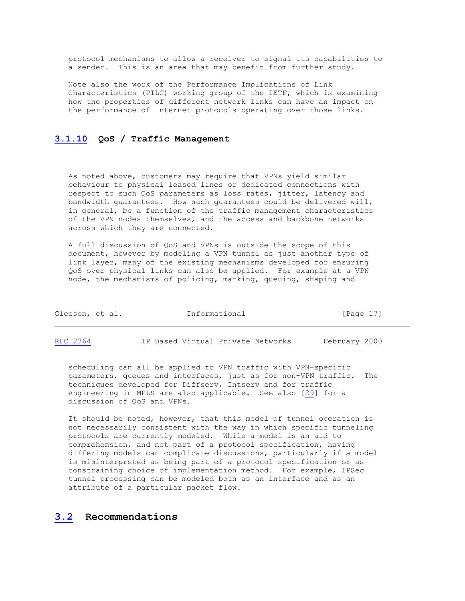protocol mechanisms to allow a receiver to signal its capabilities to a sender. This is an area that may benefit from further study.

 Note also the work of the Performance Implications of Link Characteristics (PILC) working group of the IETF, which is examining how the properties of different network links can have an impact on the performance of Internet protocols operating over those links.

#### **[3.1.10](https://tools.ietf.org/html/rfc2764#section-3.1.10) QoS / Traffic Management**

 As noted above, customers may require that VPNs yield similar behaviour to physical leased lines or dedicated connections with respect to such QoS parameters as loss rates, jitter, latency and bandwidth guarantees. How such guarantees could be delivered will, in general, be a function of the traffic management characteristics of the VPN nodes themselves, and the access and backbone networks across which they are connected.

 A full discussion of QoS and VPNs is outside the scope of this document, however by modeling a VPN tunnel as just another type of link layer, many of the existing mechanisms developed for ensuring QoS over physical links can also be applied. For example at a VPN node, the mechanisms of policing, marking, queuing, shaping and

| Gleeson, et al. | Informational | [Paqe 17] |  |
|-----------------|---------------|-----------|--|
|                 |               |           |  |

[RFC 2764](https://tools.ietf.org/html/rfc2764) IP Based Virtual Private Networks February 2000

 scheduling can all be applied to VPN traffic with VPN-specific parameters, queues and interfaces, just as for non-VPN traffic. The techniques developed for Diffserv, Intserv and for traffic engineering in MPLS are also applicable. See also [\[29\]](https://tools.ietf.org/html/rfc2764#ref-29) for a discussion of QoS and VPNs.

 It should be noted, however, that this model of tunnel operation is not necessarily consistent with the way in which specific tunneling protocols are currently modeled. While a model is an aid to comprehension, and not part of a protocol specification, having differing models can complicate discussions, particularly if a model is misinterpreted as being part of a protocol specification or as constraining choice of implementation method. For example, IPSec tunnel processing can be modeled both as an interface and as an attribute of a particular packet flow.

#### **[3.2](https://tools.ietf.org/html/rfc2764#section-3.2) Recommendations**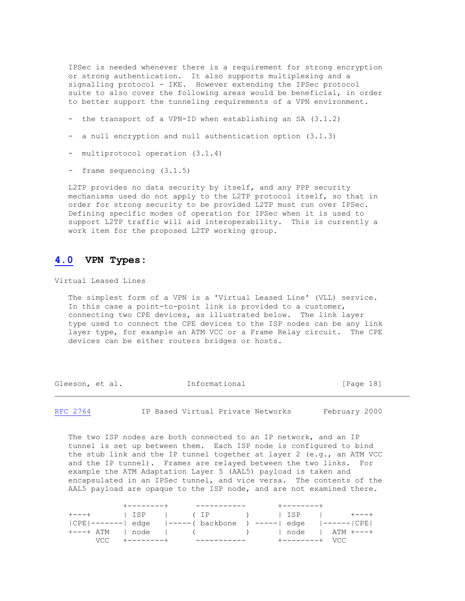IPSec is needed whenever there is a requirement for strong encryption or strong authentication. It also supports multiplexing and a signalling protocol - IKE. However extending the IPSec protocol suite to also cover the following areas would be beneficial, in order to better support the tunneling requirements of a VPN environment.

- the transport of a VPN-ID when establishing an SA (3.1.2)
- a null encryption and null authentication option (3.1.3)
- multiprotocol operation (3.1.4)
- frame sequencing (3.1.5)

 L2TP provides no data security by itself, and any PPP security mechanisms used do not apply to the L2TP protocol itself, so that in order for strong security to be provided L2TP must run over IPSec. Defining specific modes of operation for IPSec when it is used to support L2TP traffic will aid interoperability. This is currently a work item for the proposed L2TP working group.

# **[4.0](https://tools.ietf.org/html/rfc2764#section-4.0) VPN Types:**

Virtual Leased Lines

 The simplest form of a VPN is a 'Virtual Leased Line' (VLL) service. In this case a point-to-point link is provided to a customer, connecting two CPE devices, as illustrated below. The link layer type used to connect the CPE devices to the ISP nodes can be any link layer type, for example an ATM VCC or a Frame Relay circuit. The CPE devices can be either routers bridges or hosts.

Gleeson, et al. **Informational** [Page 18]

[RFC 2764](https://tools.ietf.org/html/rfc2764) IP Based Virtual Private Networks February 2000

 The two ISP nodes are both connected to an IP network, and an IP tunnel is set up between them. Each ISP node is configured to bind the stub link and the IP tunnel together at layer 2 (e.g., an ATM VCC and the IP tunnel). Frames are relayed between the two links. For example the ATM Adaptation Layer 5 (AAL5) payload is taken and encapsulated in an IPSec tunnel, and vice versa. The contents of the AAL5 payload are opaque to the ISP node, and are not examined there.

|  | +--------+    ------------ | -----------                                                        |  |
|--|----------------------------|--------------------------------------------------------------------|--|
|  |                            |                                                                    |  |
|  |                            | CPE -------  edge    -----( backbone   ) -----  edge    ------ CPE |  |
|  |                            | +---+ ATM   node   ( )   node   ATM +---+                          |  |
|  | VCC +--------+ ----------- | +--------+ VCC                                                     |  |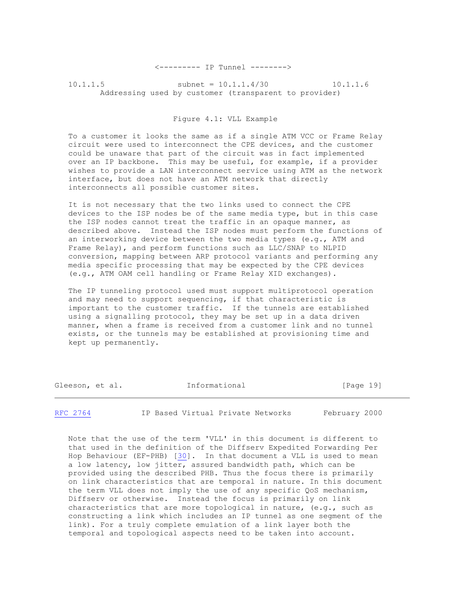<--------- IP Tunnel -------->

10.1.1.5 subnet = 10.1.1.4/30 10.1.1.6 Addressing used by customer (transparent to provider)

#### Figure 4.1: VLL Example

 To a customer it looks the same as if a single ATM VCC or Frame Relay circuit were used to interconnect the CPE devices, and the customer could be unaware that part of the circuit was in fact implemented over an IP backbone. This may be useful, for example, if a provider wishes to provide a LAN interconnect service using ATM as the network interface, but does not have an ATM network that directly interconnects all possible customer sites.

 It is not necessary that the two links used to connect the CPE devices to the ISP nodes be of the same media type, but in this case the ISP nodes cannot treat the traffic in an opaque manner, as described above. Instead the ISP nodes must perform the functions of an interworking device between the two media types (e.g., ATM and Frame Relay), and perform functions such as LLC/SNAP to NLPID conversion, mapping between ARP protocol variants and performing any media specific processing that may be expected by the CPE devices (e.g., ATM OAM cell handling or Frame Relay XID exchanges).

 The IP tunneling protocol used must support multiprotocol operation and may need to support sequencing, if that characteristic is important to the customer traffic. If the tunnels are established using a signalling protocol, they may be set up in a data driven manner, when a frame is received from a customer link and no tunnel exists, or the tunnels may be established at provisioning time and kept up permanently.

| Informational<br>Gleeson, et al. | [Page 19] |  |
|----------------------------------|-----------|--|
|----------------------------------|-----------|--|

[RFC 2764](https://tools.ietf.org/html/rfc2764) IP Based Virtual Private Networks February 2000

 Note that the use of the term 'VLL' in this document is different to that used in the definition of the Diffserv Expedited Forwarding Per Hop Behaviour (EF-PHB) [\[30\]](https://tools.ietf.org/html/rfc2764#ref-30). In that document a VLL is used to mean a low latency, low jitter, assured bandwidth path, which can be provided using the described PHB. Thus the focus there is primarily on link characteristics that are temporal in nature. In this document the term VLL does not imply the use of any specific QoS mechanism, Diffserv or otherwise. Instead the focus is primarily on link characteristics that are more topological in nature, (e.g., such as constructing a link which includes an IP tunnel as one segment of the link). For a truly complete emulation of a link layer both the temporal and topological aspects need to be taken into account.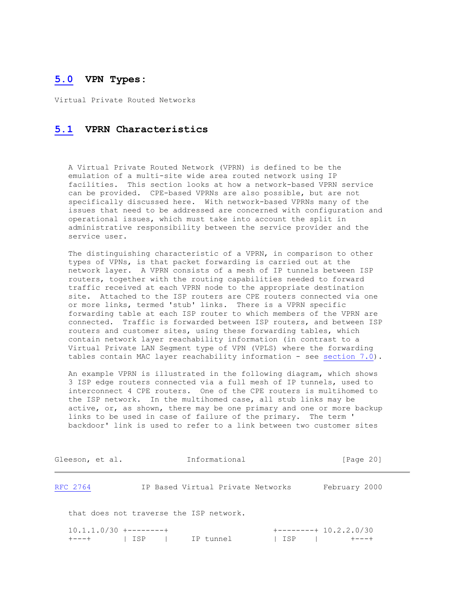# **[5.0](https://tools.ietf.org/html/rfc2764#section-5.0) VPN Types:**

Virtual Private Routed Networks

# **[5.1](https://tools.ietf.org/html/rfc2764#section-5.1) VPRN Characteristics**

 A Virtual Private Routed Network (VPRN) is defined to be the emulation of a multi-site wide area routed network using IP facilities. This section looks at how a network-based VPRN service can be provided. CPE-based VPRNs are also possible, but are not specifically discussed here. With network-based VPRNs many of the issues that need to be addressed are concerned with configuration and operational issues, which must take into account the split in administrative responsibility between the service provider and the service user.

 The distinguishing characteristic of a VPRN, in comparison to other types of VPNs, is that packet forwarding is carried out at the network layer. A VPRN consists of a mesh of IP tunnels between ISP routers, together with the routing capabilities needed to forward traffic received at each VPRN node to the appropriate destination site. Attached to the ISP routers are CPE routers connected via one or more links, termed 'stub' links. There is a VPRN specific forwarding table at each ISP router to which members of the VPRN are connected. Traffic is forwarded between ISP routers, and between ISP routers and customer sites, using these forwarding tables, which contain network layer reachability information (in contrast to a Virtual Private LAN Segment type of VPN (VPLS) where the forwarding tables contain MAC layer reachability information - see [section 7.0\)](https://tools.ietf.org/html/rfc2764#section-7.0).

 An example VPRN is illustrated in the following diagram, which shows 3 ISP edge routers connected via a full mesh of IP tunnels, used to interconnect 4 CPE routers. One of the CPE routers is multihomed to the ISP network. In the multihomed case, all stub links may be active, or, as shown, there may be one primary and one or more backup links to be used in case of failure of the primary. The term ' backdoor' link is used to refer to a link between two customer sites

| Gleeson, et al.                         |     | Informational                     |     | [Paqe 20]                                |
|-----------------------------------------|-----|-----------------------------------|-----|------------------------------------------|
| RFC 2764                                |     | IP Based Virtual Private Networks |     | February 2000                            |
| that does not traverse the ISP network. |     |                                   |     |                                          |
| $10.1.1.0/30$ +--------+<br>$+ - - - +$ | ISP | IP tunnel                         | ISP | $+$ --------+ 10.2.2.0/30<br>$+ - - - +$ |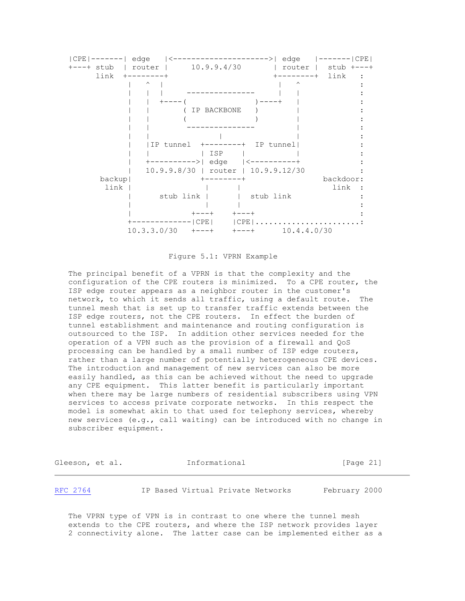

#### Figure 5.1: VPRN Example

 The principal benefit of a VPRN is that the complexity and the configuration of the CPE routers is minimized. To a CPE router, the ISP edge router appears as a neighbor router in the customer's network, to which it sends all traffic, using a default route. The tunnel mesh that is set up to transfer traffic extends between the ISP edge routers, not the CPE routers. In effect the burden of tunnel establishment and maintenance and routing configuration is outsourced to the ISP. In addition other services needed for the operation of a VPN such as the provision of a firewall and QoS processing can be handled by a small number of ISP edge routers, rather than a large number of potentially heterogeneous CPE devices. The introduction and management of new services can also be more easily handled, as this can be achieved without the need to upgrade any CPE equipment. This latter benefit is particularly important when there may be large numbers of residential subscribers using VPN services to access private corporate networks. In this respect the model is somewhat akin to that used for telephony services, whereby new services (e.g., call waiting) can be introduced with no change in subscriber equipment.

| Gleeson, et al. | Informational                     | [Page 21]     |
|-----------------|-----------------------------------|---------------|
| RFC 2764        | IP Based Virtual Private Networks | February 2000 |

 The VPRN type of VPN is in contrast to one where the tunnel mesh extends to the CPE routers, and where the ISP network provides layer 2 connectivity alone. The latter case can be implemented either as a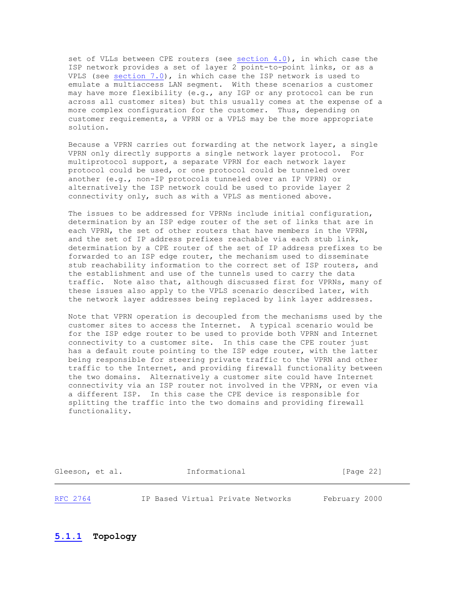set of VLLs between CPE routers (see [section 4.0\)](https://tools.ietf.org/html/rfc2764#section-4.0), in which case the ISP network provides a set of layer 2 point-to-point links, or as a VPLS (see [section 7.0\)](https://tools.ietf.org/html/rfc2764#section-7.0), in which case the ISP network is used to emulate a multiaccess LAN segment. With these scenarios a customer may have more flexibility (e.g., any IGP or any protocol can be run across all customer sites) but this usually comes at the expense of a more complex configuration for the customer. Thus, depending on customer requirements, a VPRN or a VPLS may be the more appropriate solution.

 Because a VPRN carries out forwarding at the network layer, a single VPRN only directly supports a single network layer protocol. For multiprotocol support, a separate VPRN for each network layer protocol could be used, or one protocol could be tunneled over another (e.g., non-IP protocols tunneled over an IP VPRN) or alternatively the ISP network could be used to provide layer 2 connectivity only, such as with a VPLS as mentioned above.

 The issues to be addressed for VPRNs include initial configuration, determination by an ISP edge router of the set of links that are in each VPRN, the set of other routers that have members in the VPRN, and the set of IP address prefixes reachable via each stub link, determination by a CPE router of the set of IP address prefixes to be forwarded to an ISP edge router, the mechanism used to disseminate stub reachability information to the correct set of ISP routers, and the establishment and use of the tunnels used to carry the data traffic. Note also that, although discussed first for VPRNs, many of these issues also apply to the VPLS scenario described later, with the network layer addresses being replaced by link layer addresses.

 Note that VPRN operation is decoupled from the mechanisms used by the customer sites to access the Internet. A typical scenario would be for the ISP edge router to be used to provide both VPRN and Internet connectivity to a customer site. In this case the CPE router just has a default route pointing to the ISP edge router, with the latter being responsible for steering private traffic to the VPRN and other traffic to the Internet, and providing firewall functionality between the two domains. Alternatively a customer site could have Internet connectivity via an ISP router not involved in the VPRN, or even via a different ISP. In this case the CPE device is responsible for splitting the traffic into the two domains and providing firewall functionality.

Gleeson, et al. **Informational** [Page 22]

[RFC 2764](https://tools.ietf.org/html/rfc2764) IP Based Virtual Private Networks February 2000

**[5.1.1](https://tools.ietf.org/html/rfc2764#section-5.1.1) Topology**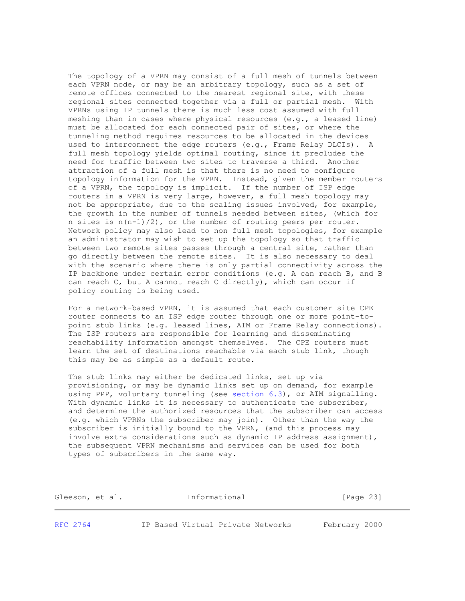The topology of a VPRN may consist of a full mesh of tunnels between each VPRN node, or may be an arbitrary topology, such as a set of remote offices connected to the nearest regional site, with these regional sites connected together via a full or partial mesh. With VPRNs using IP tunnels there is much less cost assumed with full meshing than in cases where physical resources (e.g., a leased line) must be allocated for each connected pair of sites, or where the tunneling method requires resources to be allocated in the devices used to interconnect the edge routers (e.g., Frame Relay DLCIs). A full mesh topology yields optimal routing, since it precludes the need for traffic between two sites to traverse a third. Another attraction of a full mesh is that there is no need to configure topology information for the VPRN. Instead, given the member routers of a VPRN, the topology is implicit. If the number of ISP edge routers in a VPRN is very large, however, a full mesh topology may not be appropriate, due to the scaling issues involved, for example, the growth in the number of tunnels needed between sites, (which for n sites is n(n-1)/2), or the number of routing peers per router. Network policy may also lead to non full mesh topologies, for example an administrator may wish to set up the topology so that traffic between two remote sites passes through a central site, rather than go directly between the remote sites. It is also necessary to deal with the scenario where there is only partial connectivity across the IP backbone under certain error conditions (e.g. A can reach B, and B can reach C, but A cannot reach C directly), which can occur if policy routing is being used.

 For a network-based VPRN, it is assumed that each customer site CPE router connects to an ISP edge router through one or more point-to point stub links (e.g. leased lines, ATM or Frame Relay connections). The ISP routers are responsible for learning and disseminating reachability information amongst themselves. The CPE routers must learn the set of destinations reachable via each stub link, though this may be as simple as a default route.

 The stub links may either be dedicated links, set up via provisioning, or may be dynamic links set up on demand, for example using PPP, voluntary tunneling (see [section 6.3\)](https://tools.ietf.org/html/rfc2764#section-6.3), or ATM signalling. With dynamic links it is necessary to authenticate the subscriber, and determine the authorized resources that the subscriber can access (e.g. which VPRNs the subscriber may join). Other than the way the subscriber is initially bound to the VPRN, (and this process may involve extra considerations such as dynamic IP address assignment), the subsequent VPRN mechanisms and services can be used for both types of subscribers in the same way.

| Gleeson, et al. | Informational | [Page 23] |
|-----------------|---------------|-----------|
|                 |               |           |

[RFC 2764](https://tools.ietf.org/html/rfc2764) IP Based Virtual Private Networks February 2000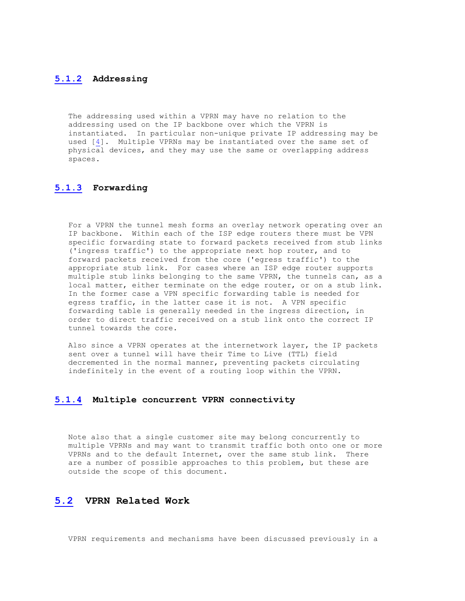#### **[5.1.2](https://tools.ietf.org/html/rfc2764#section-5.1.2) Addressing**

 The addressing used within a VPRN may have no relation to the addressing used on the IP backbone over which the VPRN is instantiated. In particular non-unique private IP addressing may be used [\[4\]](https://tools.ietf.org/html/rfc2764#ref-4). Multiple VPRNs may be instantiated over the same set of physical devices, and they may use the same or overlapping address spaces.

# **[5.1.3](https://tools.ietf.org/html/rfc2764#section-5.1.3) Forwarding**

 For a VPRN the tunnel mesh forms an overlay network operating over an IP backbone. Within each of the ISP edge routers there must be VPN specific forwarding state to forward packets received from stub links ('ingress traffic') to the appropriate next hop router, and to forward packets received from the core ('egress traffic') to the appropriate stub link. For cases where an ISP edge router supports multiple stub links belonging to the same VPRN, the tunnels can, as a local matter, either terminate on the edge router, or on a stub link. In the former case a VPN specific forwarding table is needed for egress traffic, in the latter case it is not. A VPN specific forwarding table is generally needed in the ingress direction, in order to direct traffic received on a stub link onto the correct IP tunnel towards the core.

 Also since a VPRN operates at the internetwork layer, the IP packets sent over a tunnel will have their Time to Live (TTL) field decremented in the normal manner, preventing packets circulating indefinitely in the event of a routing loop within the VPRN.

# **[5.1.4](https://tools.ietf.org/html/rfc2764#section-5.1.4) Multiple concurrent VPRN connectivity**

 Note also that a single customer site may belong concurrently to multiple VPRNs and may want to transmit traffic both onto one or more VPRNs and to the default Internet, over the same stub link. There are a number of possible approaches to this problem, but these are outside the scope of this document.

# **[5.2](https://tools.ietf.org/html/rfc2764#section-5.2) VPRN Related Work**

VPRN requirements and mechanisms have been discussed previously in a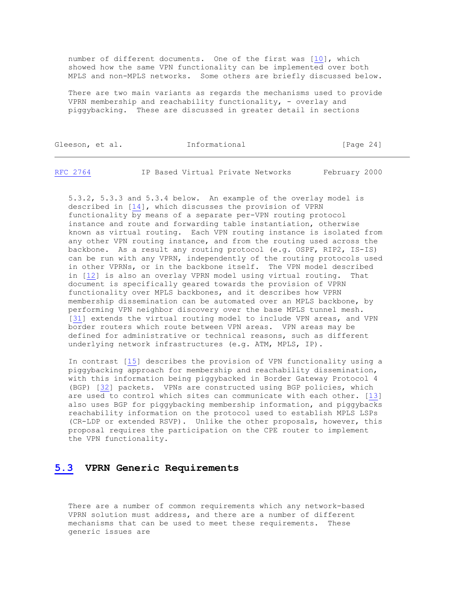number of different documents. One of the first was [\[10\]](https://tools.ietf.org/html/rfc2764#ref-10), which showed how the same VPN functionality can be implemented over both MPLS and non-MPLS networks. Some others are briefly discussed below.

 There are two main variants as regards the mechanisms used to provide VPRN membership and reachability functionality, - overlay and piggybacking. These are discussed in greater detail in sections

| Gleeson, et al. |  |  | Informational | [Page $24$ ] |  |
|-----------------|--|--|---------------|--------------|--|
|-----------------|--|--|---------------|--------------|--|

[RFC 2764](https://tools.ietf.org/html/rfc2764) IP Based Virtual Private Networks February 2000

 5.3.2, 5.3.3 and 5.3.4 below. An example of the overlay model is described in [\[14\]](https://tools.ietf.org/html/rfc2764#ref-14), which discusses the provision of VPRN functionality by means of a separate per-VPN routing protocol instance and route and forwarding table instantiation, otherwise known as virtual routing. Each VPN routing instance is isolated from any other VPN routing instance, and from the routing used across the backbone. As a result any routing protocol (e.g. OSPF, RIP2, IS-IS) can be run with any VPRN, independently of the routing protocols used in other VPRNs, or in the backbone itself. The VPN model described in [\[12\]](https://tools.ietf.org/html/rfc2764#ref-12) is also an overlay VPRN model using virtual routing. That document is specifically geared towards the provision of VPRN functionality over MPLS backbones, and it describes how VPRN membership dissemination can be automated over an MPLS backbone, by performing VPN neighbor discovery over the base MPLS tunnel mesh. [\[31\]](https://tools.ietf.org/html/rfc2764#ref-31) extends the virtual routing model to include VPN areas, and VPN border routers which route between VPN areas. VPN areas may be defined for administrative or technical reasons, such as different underlying network infrastructures (e.g. ATM, MPLS, IP).

 In contrast [\[15\]](https://tools.ietf.org/html/rfc2764#ref-15) describes the provision of VPN functionality using a piggybacking approach for membership and reachability dissemination, with this information being piggybacked in Border Gateway Protocol 4 (BGP) [\[32\]](https://tools.ietf.org/html/rfc2764#ref-32) packets. VPNs are constructed using BGP policies, which are used to control which sites can communicate with each other. [\[13\]](https://tools.ietf.org/html/rfc2764#ref-13) also uses BGP for piggybacking membership information, and piggybacks reachability information on the protocol used to establish MPLS LSPs (CR-LDP or extended RSVP). Unlike the other proposals, however, this proposal requires the participation on the CPE router to implement the VPN functionality.

# **[5.3](https://tools.ietf.org/html/rfc2764#section-5.3) VPRN Generic Requirements**

 There are a number of common requirements which any network-based VPRN solution must address, and there are a number of different mechanisms that can be used to meet these requirements. These generic issues are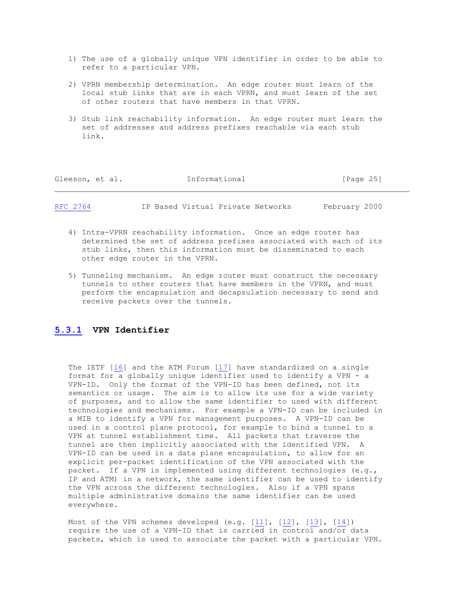- 1) The use of a globally unique VPN identifier in order to be able to refer to a particular VPN.
- 2) VPRN membership determination. An edge router must learn of the local stub links that are in each VPRN, and must learn of the set of other routers that have members in that VPRN.
- 3) Stub link reachability information. An edge router must learn the set of addresses and address prefixes reachable via each stub link.

| Informational<br>Gleeson, et al. |  |  | [Page 25]                         |               |
|----------------------------------|--|--|-----------------------------------|---------------|
| RFC 2764                         |  |  | IP Based Virtual Private Networks | February 2000 |

- 4) Intra-VPRN reachability information. Once an edge router has determined the set of address prefixes associated with each of its stub links, then this information must be disseminated to each other edge router in the VPRN.
- 5) Tunneling mechanism. An edge router must construct the necessary tunnels to other routers that have members in the VPRN, and must perform the encapsulation and decapsulation necessary to send and receive packets over the tunnels.

# **[5.3.1](https://tools.ietf.org/html/rfc2764#section-5.3.1) VPN Identifier**

 The IETF [\[16\]](https://tools.ietf.org/html/rfc2764#ref-16) and the ATM Forum [\[17\]](https://tools.ietf.org/html/rfc2764#ref-17) have standardized on a single format for a globally unique identifier used to identify a VPN - a VPN-ID. Only the format of the VPN-ID has been defined, not its semantics or usage. The aim is to allow its use for a wide variety of purposes, and to allow the same identifier to used with different technologies and mechanisms. For example a VPN-ID can be included in a MIB to identify a VPN for management purposes. A VPN-ID can be used in a control plane protocol, for example to bind a tunnel to a VPN at tunnel establishment time. All packets that traverse the tunnel are then implicitly associated with the identified VPN. A VPN-ID can be used in a data plane encapsulation, to allow for an explicit per-packet identification of the VPN associated with the packet. If a VPN is implemented using different technologies (e.g., IP and ATM) in a network, the same identifier can be used to identify the VPN across the different technologies. Also if a VPN spans multiple administrative domains the same identifier can be used everywhere.

 Most of the VPN schemes developed (e.g. [\[11\]](https://tools.ietf.org/html/rfc2764#ref-11), [\[12\]](https://tools.ietf.org/html/rfc2764#ref-12), [\[13\]](https://tools.ietf.org/html/rfc2764#ref-13), [\[14\]](https://tools.ietf.org/html/rfc2764#ref-14)) require the use of a VPN-ID that is carried in control and/or data packets, which is used to associate the packet with a particular VPN.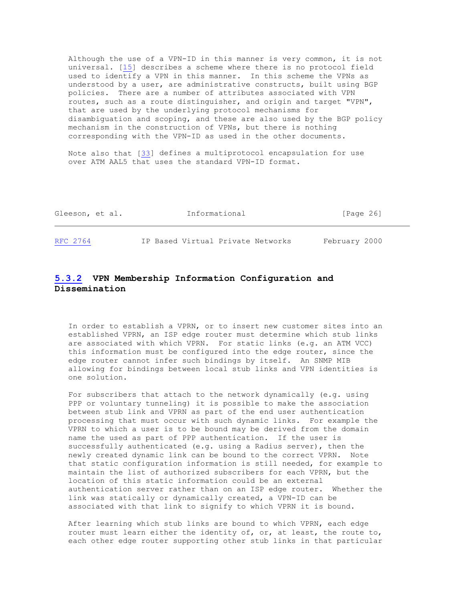Although the use of a VPN-ID in this manner is very common, it is not universal. [\[15\]](https://tools.ietf.org/html/rfc2764#ref-15) describes a scheme where there is no protocol field used to identify a VPN in this manner. In this scheme the VPNs as understood by a user, are administrative constructs, built using BGP policies. There are a number of attributes associated with VPN routes, such as a route distinguisher, and origin and target "VPN", that are used by the underlying protocol mechanisms for disambiguation and scoping, and these are also used by the BGP policy mechanism in the construction of VPNs, but there is nothing corresponding with the VPN-ID as used in the other documents.

 Note also that [\[33\]](https://tools.ietf.org/html/rfc2764#ref-33) defines a multiprotocol encapsulation for use over ATM AAL5 that uses the standard VPN-ID format.

| Gleeson, et al. | Informational                     | [Page 26]     |
|-----------------|-----------------------------------|---------------|
| RFC 2764        | IP Based Virtual Private Networks | February 2000 |

# **[5.3.2](https://tools.ietf.org/html/rfc2764#section-5.3.2) VPN Membership Information Configuration and Dissemination**

 In order to establish a VPRN, or to insert new customer sites into an established VPRN, an ISP edge router must determine which stub links are associated with which VPRN. For static links (e.g. an ATM VCC) this information must be configured into the edge router, since the edge router cannot infer such bindings by itself. An SNMP MIB allowing for bindings between local stub links and VPN identities is one solution.

 For subscribers that attach to the network dynamically (e.g. using PPP or voluntary tunneling) it is possible to make the association between stub link and VPRN as part of the end user authentication processing that must occur with such dynamic links. For example the VPRN to which a user is to be bound may be derived from the domain name the used as part of PPP authentication. If the user is successfully authenticated (e.g. using a Radius server), then the newly created dynamic link can be bound to the correct VPRN. Note that static configuration information is still needed, for example to maintain the list of authorized subscribers for each VPRN, but the location of this static information could be an external authentication server rather than on an ISP edge router. Whether the link was statically or dynamically created, a VPN-ID can be associated with that link to signify to which VPRN it is bound.

 After learning which stub links are bound to which VPRN, each edge router must learn either the identity of, or, at least, the route to, each other edge router supporting other stub links in that particular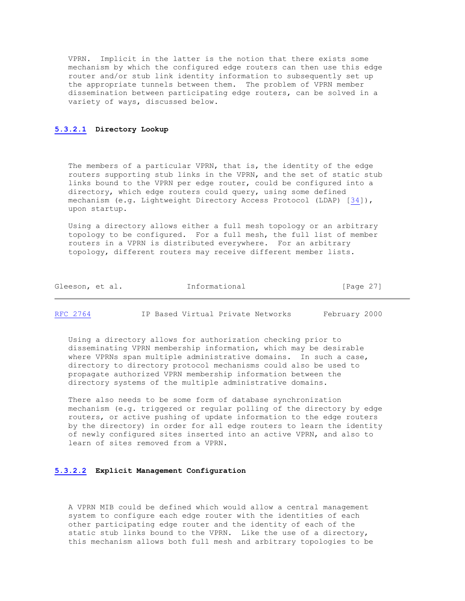VPRN. Implicit in the latter is the notion that there exists some mechanism by which the configured edge routers can then use this edge router and/or stub link identity information to subsequently set up the appropriate tunnels between them. The problem of VPRN member dissemination between participating edge routers, can be solved in a variety of ways, discussed below.

#### **[5.3.2.1](https://tools.ietf.org/html/rfc2764#section-5.3.2.1) Directory Lookup**

The members of a particular VPRN, that is, the identity of the edge routers supporting stub links in the VPRN, and the set of static stub links bound to the VPRN per edge router, could be configured into a directory, which edge routers could query, using some defined mechanism (e.g. Lightweight Directory Access Protocol (LDAP) [\[34\]](https://tools.ietf.org/html/rfc2764#ref-34)), upon startup.

 Using a directory allows either a full mesh topology or an arbitrary topology to be configured. For a full mesh, the full list of member routers in a VPRN is distributed everywhere. For an arbitrary topology, different routers may receive different member lists.

| Gleeson, et al.<br>[Page 27] |  |  |  | Informational |  |  |
|------------------------------|--|--|--|---------------|--|--|
|------------------------------|--|--|--|---------------|--|--|

[RFC 2764](https://tools.ietf.org/html/rfc2764) IP Based Virtual Private Networks February 2000

 Using a directory allows for authorization checking prior to disseminating VPRN membership information, which may be desirable where VPRNs span multiple administrative domains. In such a case, directory to directory protocol mechanisms could also be used to propagate authorized VPRN membership information between the directory systems of the multiple administrative domains.

 There also needs to be some form of database synchronization mechanism (e.g. triggered or regular polling of the directory by edge routers, or active pushing of update information to the edge routers by the directory) in order for all edge routers to learn the identity of newly configured sites inserted into an active VPRN, and also to learn of sites removed from a VPRN.

#### **[5.3.2.2](https://tools.ietf.org/html/rfc2764#section-5.3.2.2) Explicit Management Configuration**

 A VPRN MIB could be defined which would allow a central management system to configure each edge router with the identities of each other participating edge router and the identity of each of the static stub links bound to the VPRN. Like the use of a directory, this mechanism allows both full mesh and arbitrary topologies to be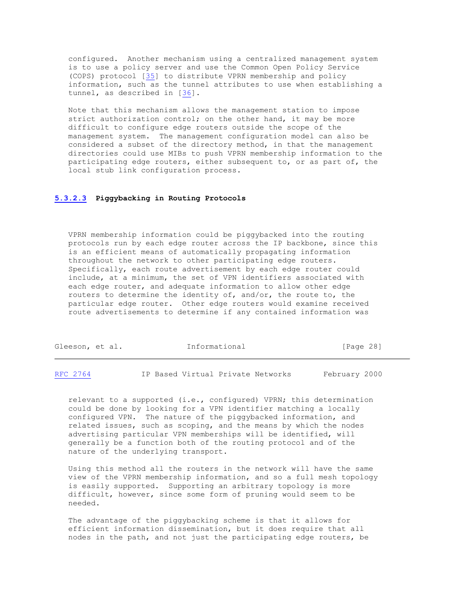configured. Another mechanism using a centralized management system is to use a policy server and use the Common Open Policy Service (COPS) protocol [\[35\]](https://tools.ietf.org/html/rfc2764#ref-35) to distribute VPRN membership and policy information, such as the tunnel attributes to use when establishing a tunnel, as described in [\[36\]](https://tools.ietf.org/html/rfc2764#ref-36).

 Note that this mechanism allows the management station to impose strict authorization control; on the other hand, it may be more difficult to configure edge routers outside the scope of the management system. The management configuration model can also be considered a subset of the directory method, in that the management directories could use MIBs to push VPRN membership information to the participating edge routers, either subsequent to, or as part of, the local stub link configuration process.

#### **[5.3.2.3](https://tools.ietf.org/html/rfc2764#section-5.3.2.3) Piggybacking in Routing Protocols**

 VPRN membership information could be piggybacked into the routing protocols run by each edge router across the IP backbone, since this is an efficient means of automatically propagating information throughout the network to other participating edge routers. Specifically, each route advertisement by each edge router could include, at a minimum, the set of VPN identifiers associated with each edge router, and adequate information to allow other edge routers to determine the identity of, and/or, the route to, the particular edge router. Other edge routers would examine received route advertisements to determine if any contained information was

| Gleeson, et al. |  | Informational | [Page 28] |  |
|-----------------|--|---------------|-----------|--|
|                 |  |               |           |  |

[RFC 2764](https://tools.ietf.org/html/rfc2764) IP Based Virtual Private Networks February 2000

 relevant to a supported (i.e., configured) VPRN; this determination could be done by looking for a VPN identifier matching a locally configured VPN. The nature of the piggybacked information, and related issues, such as scoping, and the means by which the nodes advertising particular VPN memberships will be identified, will generally be a function both of the routing protocol and of the nature of the underlying transport.

 Using this method all the routers in the network will have the same view of the VPRN membership information, and so a full mesh topology is easily supported. Supporting an arbitrary topology is more difficult, however, since some form of pruning would seem to be needed.

 The advantage of the piggybacking scheme is that it allows for efficient information dissemination, but it does require that all nodes in the path, and not just the participating edge routers, be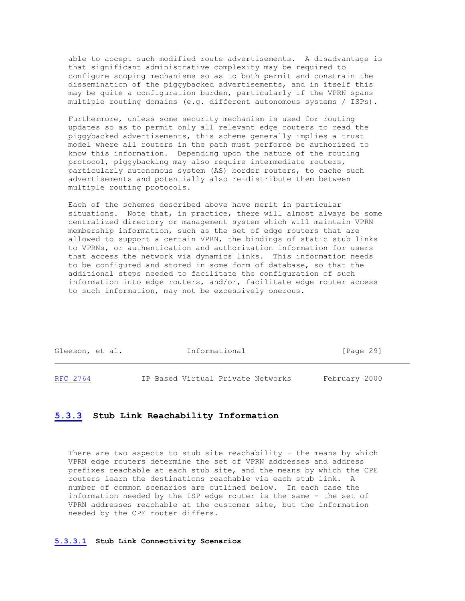able to accept such modified route advertisements. A disadvantage is that significant administrative complexity may be required to configure scoping mechanisms so as to both permit and constrain the dissemination of the piggybacked advertisements, and in itself this may be quite a configuration burden, particularly if the VPRN spans multiple routing domains (e.g. different autonomous systems / ISPs).

 Furthermore, unless some security mechanism is used for routing updates so as to permit only all relevant edge routers to read the piggybacked advertisements, this scheme generally implies a trust model where all routers in the path must perforce be authorized to know this information. Depending upon the nature of the routing protocol, piggybacking may also require intermediate routers, particularly autonomous system (AS) border routers, to cache such advertisements and potentially also re-distribute them between multiple routing protocols.

 Each of the schemes described above have merit in particular situations. Note that, in practice, there will almost always be some centralized directory or management system which will maintain VPRN membership information, such as the set of edge routers that are allowed to support a certain VPRN, the bindings of static stub links to VPRNs, or authentication and authorization information for users that access the network via dynamics links. This information needs to be configured and stored in some form of database, so that the additional steps needed to facilitate the configuration of such information into edge routers, and/or, facilitate edge router access to such information, may not be excessively onerous.

| Gleeson, et al. | Informational                     | [Page 29]     |
|-----------------|-----------------------------------|---------------|
| RFC 2764        | IP Based Virtual Private Networks | February 2000 |

#### **[5.3.3](https://tools.ietf.org/html/rfc2764#section-5.3.3) Stub Link Reachability Information**

There are two aspects to stub site reachability - the means by which VPRN edge routers determine the set of VPRN addresses and address prefixes reachable at each stub site, and the means by which the CPE routers learn the destinations reachable via each stub link. A number of common scenarios are outlined below. In each case the information needed by the ISP edge router is the same - the set of VPRN addresses reachable at the customer site, but the information needed by the CPE router differs.

#### **[5.3.3.1](https://tools.ietf.org/html/rfc2764#section-5.3.3.1) Stub Link Connectivity Scenarios**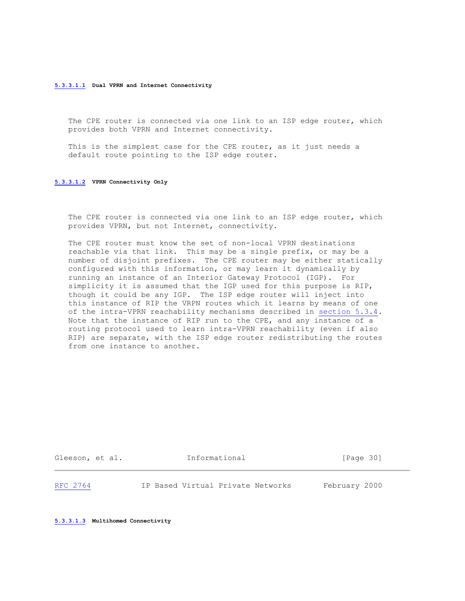#### **[5.3.3.1.1](https://tools.ietf.org/html/rfc2764#section-5.3.3.1.1) Dual VPRN and Internet Connectivity**

 The CPE router is connected via one link to an ISP edge router, which provides both VPRN and Internet connectivity.

 This is the simplest case for the CPE router, as it just needs a default route pointing to the ISP edge router.

#### **[5.3.3.1.2](https://tools.ietf.org/html/rfc2764#section-5.3.3.1.2) VPRN Connectivity Only**

 The CPE router is connected via one link to an ISP edge router, which provides VPRN, but not Internet, connectivity.

 The CPE router must know the set of non-local VPRN destinations reachable via that link. This may be a single prefix, or may be a number of disjoint prefixes. The CPE router may be either statically configured with this information, or may learn it dynamically by running an instance of an Interior Gateway Protocol (IGP). For simplicity it is assumed that the IGP used for this purpose is RIP, though it could be any IGP. The ISP edge router will inject into this instance of RIP the VRPN routes which it learns by means of one of the intra-VPRN reachability mechanisms described in [section 5.3.4.](https://tools.ietf.org/html/rfc2764#section-5.3.4) Note that the instance of RIP run to the CPE, and any instance of a routing protocol used to learn intra-VPRN reachability (even if also RIP) are separate, with the ISP edge router redistributing the routes from one instance to another.

Gleeson, et al. **Informational** [Page 30]

[RFC 2764](https://tools.ietf.org/html/rfc2764) IP Based Virtual Private Networks February 2000

**[5.3.3.1.3](https://tools.ietf.org/html/rfc2764#section-5.3.3.1.3) Multihomed Connectivity**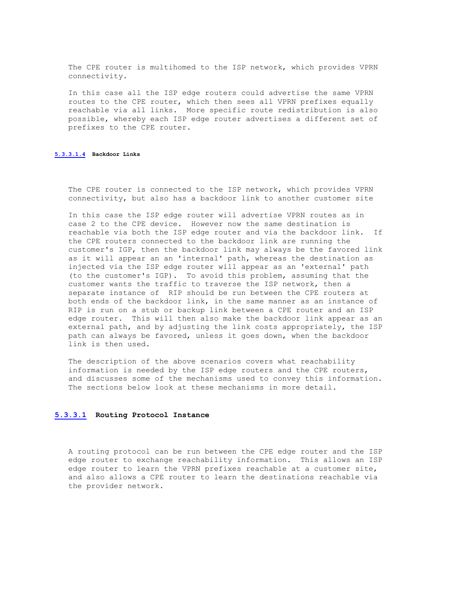The CPE router is multihomed to the ISP network, which provides VPRN connectivity.

 In this case all the ISP edge routers could advertise the same VPRN routes to the CPE router, which then sees all VPRN prefixes equally reachable via all links. More specific route redistribution is also possible, whereby each ISP edge router advertises a different set of prefixes to the CPE router.

#### **[5.3.3.1.4](https://tools.ietf.org/html/rfc2764#section-5.3.3.1.4) Backdoor Links**

 The CPE router is connected to the ISP network, which provides VPRN connectivity, but also has a backdoor link to another customer site

 In this case the ISP edge router will advertise VPRN routes as in case 2 to the CPE device. However now the same destination is reachable via both the ISP edge router and via the backdoor link. If the CPE routers connected to the backdoor link are running the customer's IGP, then the backdoor link may always be the favored link as it will appear an an 'internal' path, whereas the destination as injected via the ISP edge router will appear as an 'external' path (to the customer's IGP). To avoid this problem, assuming that the customer wants the traffic to traverse the ISP network, then a separate instance of RIP should be run between the CPE routers at both ends of the backdoor link, in the same manner as an instance of RIP is run on a stub or backup link between a CPE router and an ISP edge router. This will then also make the backdoor link appear as an external path, and by adjusting the link costs appropriately, the ISP path can always be favored, unless it goes down, when the backdoor link is then used.

 The description of the above scenarios covers what reachability information is needed by the ISP edge routers and the CPE routers, and discusses some of the mechanisms used to convey this information. The sections below look at these mechanisms in more detail.

#### **[5.3.3.1](https://tools.ietf.org/html/rfc2764#section-5.3.3.1) Routing Protocol Instance**

 A routing protocol can be run between the CPE edge router and the ISP edge router to exchange reachability information. This allows an ISP edge router to learn the VPRN prefixes reachable at a customer site, and also allows a CPE router to learn the destinations reachable via the provider network.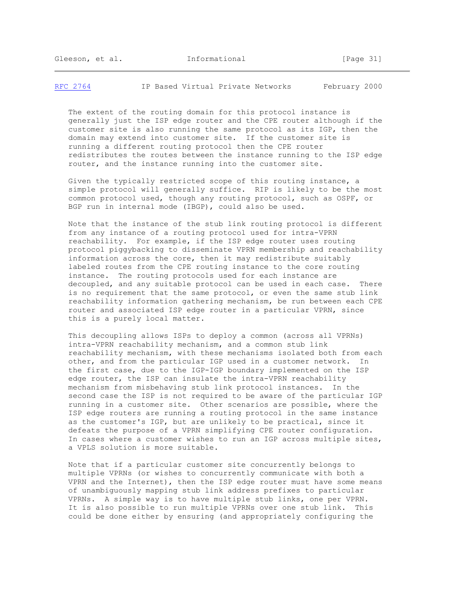[RFC 2764](https://tools.ietf.org/html/rfc2764) IP Based Virtual Private Networks February 2000

 The extent of the routing domain for this protocol instance is generally just the ISP edge router and the CPE router although if the customer site is also running the same protocol as its IGP, then the domain may extend into customer site. If the customer site is running a different routing protocol then the CPE router redistributes the routes between the instance running to the ISP edge router, and the instance running into the customer site.

 Given the typically restricted scope of this routing instance, a simple protocol will generally suffice. RIP is likely to be the most common protocol used, though any routing protocol, such as OSPF, or BGP run in internal mode (IBGP), could also be used.

 Note that the instance of the stub link routing protocol is different from any instance of a routing protocol used for intra-VPRN reachability. For example, if the ISP edge router uses routing protocol piggybacking to disseminate VPRN membership and reachability information across the core, then it may redistribute suitably labeled routes from the CPE routing instance to the core routing instance. The routing protocols used for each instance are decoupled, and any suitable protocol can be used in each case. There is no requirement that the same protocol, or even the same stub link reachability information gathering mechanism, be run between each CPE router and associated ISP edge router in a particular VPRN, since this is a purely local matter.

 This decoupling allows ISPs to deploy a common (across all VPRNs) intra-VPRN reachability mechanism, and a common stub link reachability mechanism, with these mechanisms isolated both from each other, and from the particular IGP used in a customer network. In the first case, due to the IGP-IGP boundary implemented on the ISP edge router, the ISP can insulate the intra-VPRN reachability mechanism from misbehaving stub link protocol instances. In the second case the ISP is not required to be aware of the particular IGP running in a customer site. Other scenarios are possible, where the ISP edge routers are running a routing protocol in the same instance as the customer's IGP, but are unlikely to be practical, since it defeats the purpose of a VPRN simplifying CPE router configuration. In cases where a customer wishes to run an IGP across multiple sites, a VPLS solution is more suitable.

 Note that if a particular customer site concurrently belongs to multiple VPRNs (or wishes to concurrently communicate with both a VPRN and the Internet), then the ISP edge router must have some means of unambiguously mapping stub link address prefixes to particular VPRNs. A simple way is to have multiple stub links, one per VPRN. It is also possible to run multiple VPRNs over one stub link. This could be done either by ensuring (and appropriately configuring the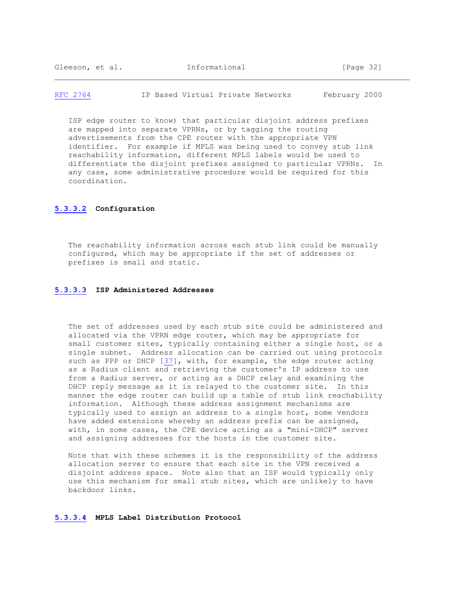[RFC 2764](https://tools.ietf.org/html/rfc2764) IP Based Virtual Private Networks February 2000

 ISP edge router to know) that particular disjoint address prefixes are mapped into separate VPRNs, or by tagging the routing advertisements from the CPE router with the appropriate VPN identifier. For example if MPLS was being used to convey stub link reachability information, different MPLS labels would be used to differentiate the disjoint prefixes assigned to particular VPRNs. In any case, some administrative procedure would be required for this coordination.

#### **[5.3.3.2](https://tools.ietf.org/html/rfc2764#section-5.3.3.2) Configuration**

 The reachability information across each stub link could be manually configured, which may be appropriate if the set of addresses or prefixes is small and static.

#### **[5.3.3.3](https://tools.ietf.org/html/rfc2764#section-5.3.3.3) ISP Administered Addresses**

 The set of addresses used by each stub site could be administered and allocated via the VPRN edge router, which may be appropriate for small customer sites, typically containing either a single host, or a single subnet. Address allocation can be carried out using protocols such as PPP or DHCP [\[37\]](https://tools.ietf.org/html/rfc2764#ref-37), with, for example, the edge router acting as a Radius client and retrieving the customer's IP address to use from a Radius server, or acting as a DHCP relay and examining the DHCP reply message as it is relayed to the customer site. In this manner the edge router can build up a table of stub link reachability information. Although these address assignment mechanisms are typically used to assign an address to a single host, some vendors have added extensions whereby an address prefix can be assigned, with, in some cases, the CPE device acting as a "mini-DHCP" server and assigning addresses for the hosts in the customer site.

 Note that with these schemes it is the responsibility of the address allocation server to ensure that each site in the VPN received a disjoint address space. Note also that an ISP would typically only use this mechanism for small stub sites, which are unlikely to have backdoor links.

#### **[5.3.3.4](https://tools.ietf.org/html/rfc2764#section-5.3.3.4) MPLS Label Distribution Protocol**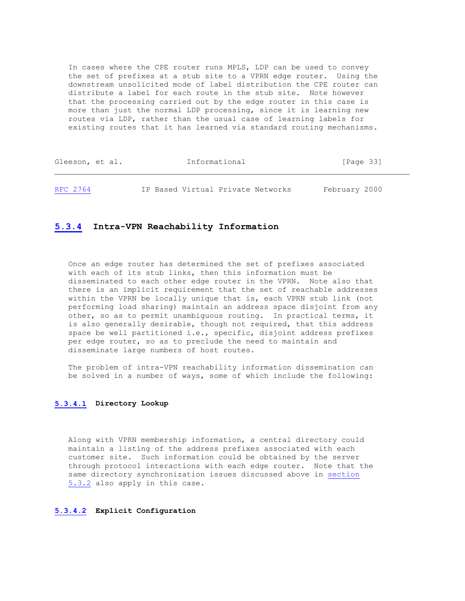In cases where the CPE router runs MPLS, LDP can be used to convey the set of prefixes at a stub site to a VPRN edge router. Using the downstream unsolicited mode of label distribution the CPE router can distribute a label for each route in the stub site. Note however that the processing carried out by the edge router in this case is more than just the normal LDP processing, since it is learning new routes via LDP, rather than the usual case of learning labels for existing routes that it has learned via standard routing mechanisms.

| Gleeson, et al. | Informational                     | [Page 33]     |
|-----------------|-----------------------------------|---------------|
| RFC 2764        | IP Based Virtual Private Networks | February 2000 |

#### **[5.3.4](https://tools.ietf.org/html/rfc2764#section-5.3.4) Intra-VPN Reachability Information**

 Once an edge router has determined the set of prefixes associated with each of its stub links, then this information must be disseminated to each other edge router in the VPRN. Note also that there is an implicit requirement that the set of reachable addresses within the VPRN be locally unique that is, each VPRN stub link (not performing load sharing) maintain an address space disjoint from any other, so as to permit unambiguous routing. In practical terms, it is also generally desirable, though not required, that this address space be well partitioned i.e., specific, disjoint address prefixes per edge router, so as to preclude the need to maintain and disseminate large numbers of host routes.

 The problem of intra-VPN reachability information dissemination can be solved in a number of ways, some of which include the following:

#### **[5.3.4.1](https://tools.ietf.org/html/rfc2764#section-5.3.4.1) Directory Lookup**

 Along with VPRN membership information, a central directory could maintain a listing of the address prefixes associated with each customer site. Such information could be obtained by the server through protocol interactions with each edge router. Note that the same directory synchronization issues discussed above in [section](https://tools.ietf.org/html/rfc2764#section-5.3.2) [5.3.2](https://tools.ietf.org/html/rfc2764#section-5.3.2) also apply in this case.

#### **[5.3.4.2](https://tools.ietf.org/html/rfc2764#section-5.3.4.2) Explicit Configuration**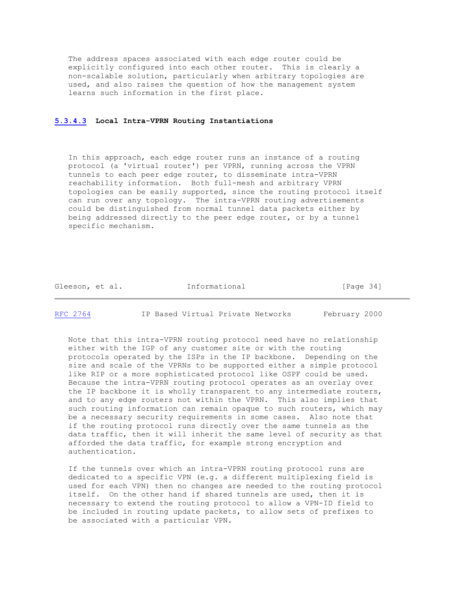The address spaces associated with each edge router could be explicitly configured into each other router. This is clearly a non-scalable solution, particularly when arbitrary topologies are used, and also raises the question of how the management system learns such information in the first place.

#### **[5.3.4.3](https://tools.ietf.org/html/rfc2764#section-5.3.4.3) Local Intra-VPRN Routing Instantiations**

 In this approach, each edge router runs an instance of a routing protocol (a 'virtual router') per VPRN, running across the VPRN tunnels to each peer edge router, to disseminate intra-VPRN reachability information. Both full-mesh and arbitrary VPRN topologies can be easily supported, since the routing protocol itself can run over any topology. The intra-VPRN routing advertisements could be distinguished from normal tunnel data packets either by being addressed directly to the peer edge router, or by a tunnel specific mechanism.

Gleeson, et al. **Informational** [Page 34]

[RFC 2764](https://tools.ietf.org/html/rfc2764) IP Based Virtual Private Networks February 2000

 Note that this intra-VPRN routing protocol need have no relationship either with the IGP of any customer site or with the routing protocols operated by the ISPs in the IP backbone. Depending on the size and scale of the VPRNs to be supported either a simple protocol like RIP or a more sophisticated protocol like OSPF could be used. Because the intra-VPRN routing protocol operates as an overlay over the IP backbone it is wholly transparent to any intermediate routers, and to any edge routers not within the VPRN. This also implies that such routing information can remain opaque to such routers, which may be a necessary security requirements in some cases. Also note that if the routing protocol runs directly over the same tunnels as the data traffic, then it will inherit the same level of security as that afforded the data traffic, for example strong encryption and authentication.

 If the tunnels over which an intra-VPRN routing protocol runs are dedicated to a specific VPN (e.g. a different multiplexing field is used for each VPN) then no changes are needed to the routing protocol itself. On the other hand if shared tunnels are used, then it is necessary to extend the routing protocol to allow a VPN-ID field to be included in routing update packets, to allow sets of prefixes to be associated with a particular VPN.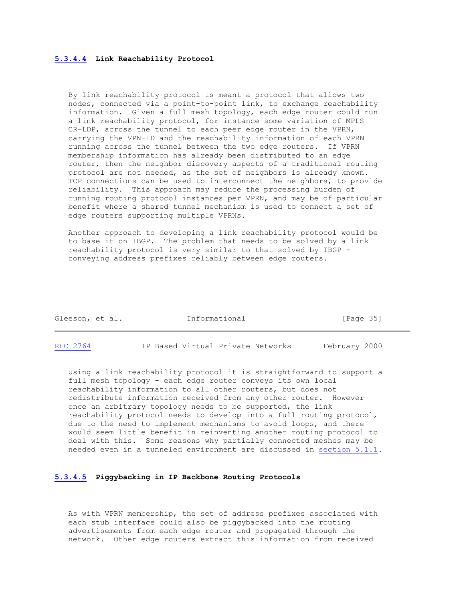#### **[5.3.4.4](https://tools.ietf.org/html/rfc2764#section-5.3.4.4) Link Reachability Protocol**

 By link reachability protocol is meant a protocol that allows two nodes, connected via a point-to-point link, to exchange reachability information. Given a full mesh topology, each edge router could run a link reachability protocol, for instance some variation of MPLS CR-LDP, across the tunnel to each peer edge router in the VPRN, carrying the VPN-ID and the reachability information of each VPRN running across the tunnel between the two edge routers. If VPRN membership information has already been distributed to an edge router, then the neighbor discovery aspects of a traditional routing protocol are not needed, as the set of neighbors is already known. TCP connections can be used to interconnect the neighbors, to provide reliability. This approach may reduce the processing burden of running routing protocol instances per VPRN, and may be of particular benefit where a shared tunnel mechanism is used to connect a set of edge routers supporting multiple VPRNs.

 Another approach to developing a link reachability protocol would be to base it on IBGP. The problem that needs to be solved by a link reachability protocol is very similar to that solved by IBGP conveying address prefixes reliably between edge routers.

| Gleeson, et al. | Informational | [Page $35$ ] |
|-----------------|---------------|--------------|
|                 |               |              |
|                 |               |              |

[RFC 2764](https://tools.ietf.org/html/rfc2764) IP Based Virtual Private Networks February 2000

 Using a link reachability protocol it is straightforward to support a full mesh topology - each edge router conveys its own local reachability information to all other routers, but does not redistribute information received from any other router. However once an arbitrary topology needs to be supported, the link reachability protocol needs to develop into a full routing protocol, due to the need to implement mechanisms to avoid loops, and there would seem little benefit in reinventing another routing protocol to deal with this. Some reasons why partially connected meshes may be needed even in a tunneled environment are discussed in [section 5.1.1.](https://tools.ietf.org/html/rfc2764#section-5.1.1)

#### **[5.3.4.5](https://tools.ietf.org/html/rfc2764#section-5.3.4.5) Piggybacking in IP Backbone Routing Protocols**

 As with VPRN membership, the set of address prefixes associated with each stub interface could also be piggybacked into the routing advertisements from each edge router and propagated through the network. Other edge routers extract this information from received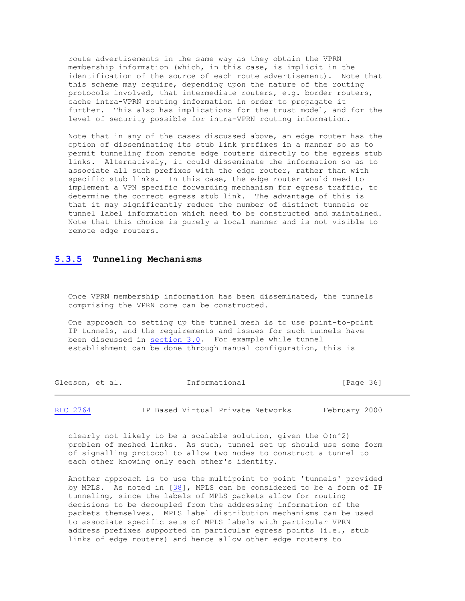route advertisements in the same way as they obtain the VPRN membership information (which, in this case, is implicit in the identification of the source of each route advertisement). Note that this scheme may require, depending upon the nature of the routing protocols involved, that intermediate routers, e.g. border routers, cache intra-VPRN routing information in order to propagate it further. This also has implications for the trust model, and for the level of security possible for intra-VPRN routing information.

 Note that in any of the cases discussed above, an edge router has the option of disseminating its stub link prefixes in a manner so as to permit tunneling from remote edge routers directly to the egress stub links. Alternatively, it could disseminate the information so as to associate all such prefixes with the edge router, rather than with specific stub links. In this case, the edge router would need to implement a VPN specific forwarding mechanism for egress traffic, to determine the correct egress stub link. The advantage of this is that it may significantly reduce the number of distinct tunnels or tunnel label information which need to be constructed and maintained. Note that this choice is purely a local manner and is not visible to remote edge routers.

#### **[5.3.5](https://tools.ietf.org/html/rfc2764#section-5.3.5) Tunneling Mechanisms**

 Once VPRN membership information has been disseminated, the tunnels comprising the VPRN core can be constructed.

 One approach to setting up the tunnel mesh is to use point-to-point IP tunnels, and the requirements and issues for such tunnels have been discussed in [section 3.0.](https://tools.ietf.org/html/rfc2764#section-3.0) For example while tunnel establishment can be done through manual configuration, this is

Gleeson, et al. **Informational** [Page 36]

[RFC 2764](https://tools.ietf.org/html/rfc2764) IP Based Virtual Private Networks February 2000

clearly not likely to be a scalable solution, given the  $O(n^2)$  problem of meshed links. As such, tunnel set up should use some form of signalling protocol to allow two nodes to construct a tunnel to each other knowing only each other's identity.

 Another approach is to use the multipoint to point 'tunnels' provided by MPLS. As noted in [\[38\]](https://tools.ietf.org/html/rfc2764#ref-38), MPLS can be considered to be a form of IP tunneling, since the labels of MPLS packets allow for routing decisions to be decoupled from the addressing information of the packets themselves. MPLS label distribution mechanisms can be used to associate specific sets of MPLS labels with particular VPRN address prefixes supported on particular egress points (i.e., stub links of edge routers) and hence allow other edge routers to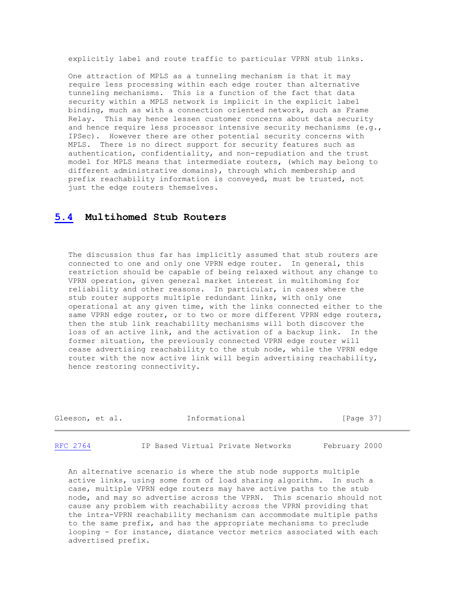explicitly label and route traffic to particular VPRN stub links.

 One attraction of MPLS as a tunneling mechanism is that it may require less processing within each edge router than alternative tunneling mechanisms. This is a function of the fact that data security within a MPLS network is implicit in the explicit label binding, much as with a connection oriented network, such as Frame Relay. This may hence lessen customer concerns about data security and hence require less processor intensive security mechanisms (e.g., IPSec). However there are other potential security concerns with MPLS. There is no direct support for security features such as authentication, confidentiality, and non-repudiation and the trust model for MPLS means that intermediate routers, (which may belong to different administrative domains), through which membership and prefix reachability information is conveyed, must be trusted, not just the edge routers themselves.

# **[5.4](https://tools.ietf.org/html/rfc2764#section-5.4) Multihomed Stub Routers**

 The discussion thus far has implicitly assumed that stub routers are connected to one and only one VPRN edge router. In general, this restriction should be capable of being relaxed without any change to VPRN operation, given general market interest in multihoming for reliability and other reasons. In particular, in cases where the stub router supports multiple redundant links, with only one operational at any given time, with the links connected either to the same VPRN edge router, or to two or more different VPRN edge routers, then the stub link reachability mechanisms will both discover the loss of an active link, and the activation of a backup link. In the former situation, the previously connected VPRN edge router will cease advertising reachability to the stub node, while the VPRN edge router with the now active link will begin advertising reachability, hence restoring connectivity.

| Gleeson, et al. | Informational | [Page 37] |  |
|-----------------|---------------|-----------|--|
|                 |               |           |  |

[RFC 2764](https://tools.ietf.org/html/rfc2764) IP Based Virtual Private Networks February 2000

 An alternative scenario is where the stub node supports multiple active links, using some form of load sharing algorithm. In such a case, multiple VPRN edge routers may have active paths to the stub node, and may so advertise across the VPRN. This scenario should not cause any problem with reachability across the VPRN providing that the intra-VPRN reachability mechanism can accommodate multiple paths to the same prefix, and has the appropriate mechanisms to preclude looping - for instance, distance vector metrics associated with each advertised prefix.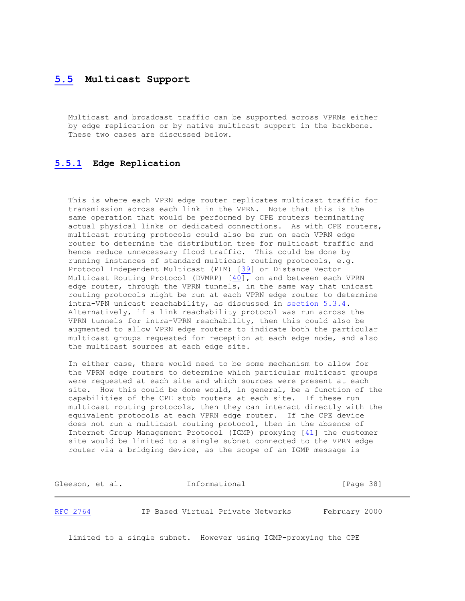# **[5.5](https://tools.ietf.org/html/rfc2764#section-5.5) Multicast Support**

 Multicast and broadcast traffic can be supported across VPRNs either by edge replication or by native multicast support in the backbone. These two cases are discussed below.

# **[5.5.1](https://tools.ietf.org/html/rfc2764#section-5.5.1) Edge Replication**

This is where each VPRN edge router replicates multicast traffic for transmission across each link in the VPRN. Note that this is the same operation that would be performed by CPE routers terminating actual physical links or dedicated connections. As with CPE routers, multicast routing protocols could also be run on each VPRN edge router to determine the distribution tree for multicast traffic and hence reduce unnecessary flood traffic. This could be done by running instances of standard multicast routing protocols, e.g. Protocol Independent Multicast (PIM) [\[39\]](https://tools.ietf.org/html/rfc2764#ref-39) or Distance Vector Multicast Routing Protocol (DVMRP) [\[40\]](https://tools.ietf.org/html/rfc2764#ref-40), on and between each VPRN edge router, through the VPRN tunnels, in the same way that unicast routing protocols might be run at each VPRN edge router to determine intra-VPN unicast reachability, as discussed in [section 5.3.4.](https://tools.ietf.org/html/rfc2764#section-5.3.4) Alternatively, if a link reachability protocol was run across the VPRN tunnels for intra-VPRN reachability, then this could also be augmented to allow VPRN edge routers to indicate both the particular multicast groups requested for reception at each edge node, and also the multicast sources at each edge site.

 In either case, there would need to be some mechanism to allow for the VPRN edge routers to determine which particular multicast groups were requested at each site and which sources were present at each site. How this could be done would, in general, be a function of the capabilities of the CPE stub routers at each site. If these run multicast routing protocols, then they can interact directly with the equivalent protocols at each VPRN edge router. If the CPE device does not run a multicast routing protocol, then in the absence of Internet Group Management Protocol (IGMP) proxying [\[41\]](https://tools.ietf.org/html/rfc2764#ref-41) the customer site would be limited to a single subnet connected to the VPRN edge router via a bridging device, as the scope of an IGMP message is

| Gleeson, et al. | Informational                     | [Page 38]     |
|-----------------|-----------------------------------|---------------|
| RFC 2764        | IP Based Virtual Private Networks | February 2000 |

limited to a single subnet. However using IGMP-proxying the CPE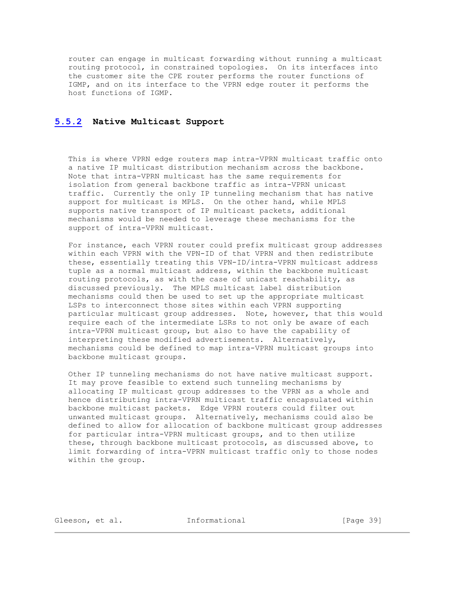router can engage in multicast forwarding without running a multicast routing protocol, in constrained topologies. On its interfaces into the customer site the CPE router performs the router functions of IGMP, and on its interface to the VPRN edge router it performs the host functions of IGMP.

#### **[5.5.2](https://tools.ietf.org/html/rfc2764#section-5.5.2) Native Multicast Support**

 This is where VPRN edge routers map intra-VPRN multicast traffic onto a native IP multicast distribution mechanism across the backbone. Note that intra-VPRN multicast has the same requirements for isolation from general backbone traffic as intra-VPRN unicast traffic. Currently the only IP tunneling mechanism that has native support for multicast is MPLS. On the other hand, while MPLS supports native transport of IP multicast packets, additional mechanisms would be needed to leverage these mechanisms for the support of intra-VPRN multicast.

 For instance, each VPRN router could prefix multicast group addresses within each VPRN with the VPN-ID of that VPRN and then redistribute these, essentially treating this VPN-ID/intra-VPRN multicast address tuple as a normal multicast address, within the backbone multicast routing protocols, as with the case of unicast reachability, as discussed previously. The MPLS multicast label distribution mechanisms could then be used to set up the appropriate multicast LSPs to interconnect those sites within each VPRN supporting particular multicast group addresses. Note, however, that this would require each of the intermediate LSRs to not only be aware of each intra-VPRN multicast group, but also to have the capability of interpreting these modified advertisements. Alternatively, mechanisms could be defined to map intra-VPRN multicast groups into backbone multicast groups.

 Other IP tunneling mechanisms do not have native multicast support. It may prove feasible to extend such tunneling mechanisms by allocating IP multicast group addresses to the VPRN as a whole and hence distributing intra-VPRN multicast traffic encapsulated within backbone multicast packets. Edge VPRN routers could filter out unwanted multicast groups. Alternatively, mechanisms could also be defined to allow for allocation of backbone multicast group addresses for particular intra-VPRN multicast groups, and to then utilize these, through backbone multicast protocols, as discussed above, to limit forwarding of intra-VPRN multicast traffic only to those nodes within the group.

Gleeson, et al. **Informational** [Page 39]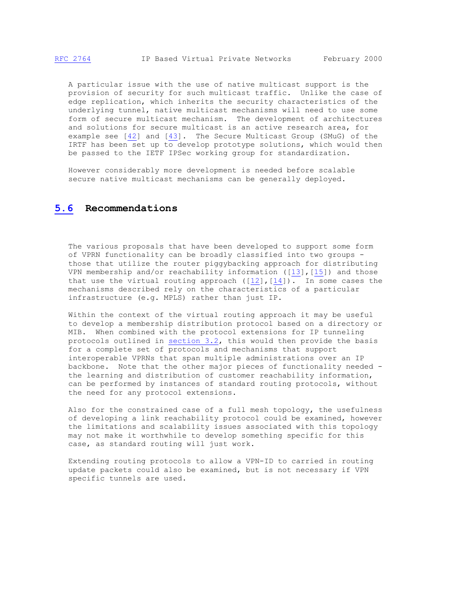A particular issue with the use of native multicast support is the provision of security for such multicast traffic. Unlike the case of edge replication, which inherits the security characteristics of the underlying tunnel, native multicast mechanisms will need to use some form of secure multicast mechanism. The development of architectures and solutions for secure multicast is an active research area, for example see [\[42\]](https://tools.ietf.org/html/rfc2764#ref-42) and [\[43\]](https://tools.ietf.org/html/rfc2764#ref-43). The Secure Multicast Group (SMuG) of the IRTF has been set up to develop prototype solutions, which would then be passed to the IETF IPSec working group for standardization.

 However considerably more development is needed before scalable secure native multicast mechanisms can be generally deployed.

# **[5.6](https://tools.ietf.org/html/rfc2764#section-5.6) Recommendations**

 The various proposals that have been developed to support some form of VPRN functionality can be broadly classified into two groups those that utilize the router piggybacking approach for distributing VPN membership and/or reachability information ([\[13\]](https://tools.ietf.org/html/rfc2764#ref-13),[\[15\]](https://tools.ietf.org/html/rfc2764#ref-15)) and those that use the virtual routing approach  $([12]$  $([12]$ ,  $[14])$  $[14])$ . In some cases the mechanisms described rely on the characteristics of a particular infrastructure (e.g. MPLS) rather than just IP.

 Within the context of the virtual routing approach it may be useful to develop a membership distribution protocol based on a directory or MIB. When combined with the protocol extensions for IP tunneling protocols outlined in [section 3.2,](https://tools.ietf.org/html/rfc2764#section-3.2) this would then provide the basis for a complete set of protocols and mechanisms that support interoperable VPRNs that span multiple administrations over an IP backbone. Note that the other major pieces of functionality needed the learning and distribution of customer reachability information, can be performed by instances of standard routing protocols, without the need for any protocol extensions.

 Also for the constrained case of a full mesh topology, the usefulness of developing a link reachability protocol could be examined, however the limitations and scalability issues associated with this topology may not make it worthwhile to develop something specific for this case, as standard routing will just work.

 Extending routing protocols to allow a VPN-ID to carried in routing update packets could also be examined, but is not necessary if VPN specific tunnels are used.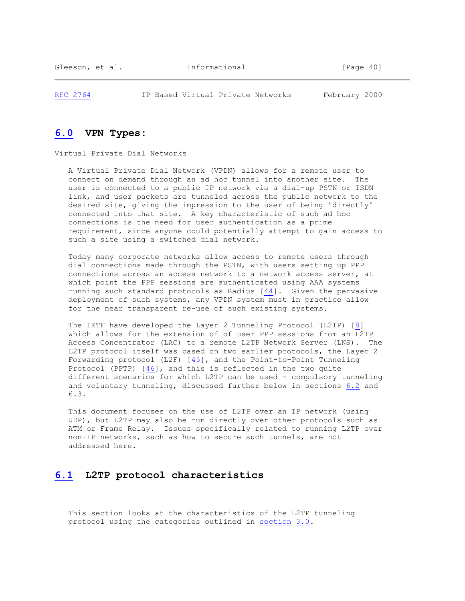[RFC 2764](https://tools.ietf.org/html/rfc2764) IP Based Virtual Private Networks February 2000

# **[6.0](https://tools.ietf.org/html/rfc2764#section-6.0) VPN Types:**

Virtual Private Dial Networks

 A Virtual Private Dial Network (VPDN) allows for a remote user to connect on demand through an ad hoc tunnel into another site. The user is connected to a public IP network via a dial-up PSTN or ISDN link, and user packets are tunneled across the public network to the desired site, giving the impression to the user of being 'directly' connected into that site. A key characteristic of such ad hoc connections is the need for user authentication as a prime requirement, since anyone could potentially attempt to gain access to such a site using a switched dial network.

 Today many corporate networks allow access to remote users through dial connections made through the PSTN, with users setting up PPP connections across an access network to a network access server, at which point the PPP sessions are authenticated using AAA systems running such standard protocols as Radius [\[44\]](https://tools.ietf.org/html/rfc2764#ref-44). Given the pervasive deployment of such systems, any VPDN system must in practice allow for the near transparent re-use of such existing systems.

 The IETF have developed the Layer 2 Tunneling Protocol (L2TP) [\[8\]](https://tools.ietf.org/html/rfc2764#ref-8) which allows for the extension of of user PPP sessions from an L2TP Access Concentrator (LAC) to a remote L2TP Network Server (LNS). The L2TP protocol itself was based on two earlier protocols, the Layer 2 Forwarding protocol (L2F) [\[45\]](https://tools.ietf.org/html/rfc2764#ref-45), and the Point-to-Point Tunneling Protocol (PPTP) [\[46\]](https://tools.ietf.org/html/rfc2764#ref-46), and this is reflected in the two quite different scenarios for which L2TP can be used - compulsory tunneling and voluntary tunneling, discussed further below in sections [6.2](https://tools.ietf.org/html/rfc2764#section-6.2) and 6.3.

 This document focuses on the use of L2TP over an IP network (using UDP), but L2TP may also be run directly over other protocols such as ATM or Frame Relay. Issues specifically related to running L2TP over non-IP networks, such as how to secure such tunnels, are not addressed here.

# **[6.1](https://tools.ietf.org/html/rfc2764#section-6.1) L2TP protocol characteristics**

 This section looks at the characteristics of the L2TP tunneling protocol using the categories outlined in [section 3.0.](https://tools.ietf.org/html/rfc2764#section-3.0)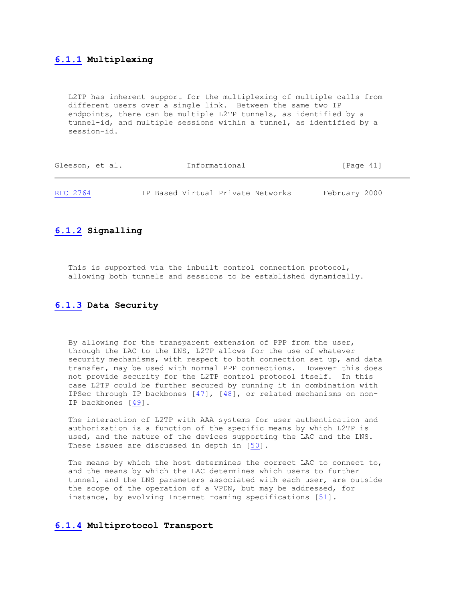# **[6.1.1](https://tools.ietf.org/html/rfc2764#section-6.1.1) Multiplexing**

 L2TP has inherent support for the multiplexing of multiple calls from different users over a single link. Between the same two IP endpoints, there can be multiple L2TP tunnels, as identified by a tunnel-id, and multiple sessions within a tunnel, as identified by a session-id.

| Gleeson, et al. | Informational                     | [Page 41]     |
|-----------------|-----------------------------------|---------------|
| RFC 2764        | IP Based Virtual Private Networks | February 2000 |

# **[6.1.2](https://tools.ietf.org/html/rfc2764#section-6.1.2) Signalling**

 This is supported via the inbuilt control connection protocol, allowing both tunnels and sessions to be established dynamically.

# **[6.1.3](https://tools.ietf.org/html/rfc2764#section-6.1.3) Data Security**

 By allowing for the transparent extension of PPP from the user, through the LAC to the LNS, L2TP allows for the use of whatever security mechanisms, with respect to both connection set up, and data transfer, may be used with normal PPP connections. However this does not provide security for the L2TP control protocol itself. In this case L2TP could be further secured by running it in combination with IPSec through IP backbones [\[47\]](https://tools.ietf.org/html/rfc2764#ref-47), [\[48\]](https://tools.ietf.org/html/rfc2764#ref-48), or related mechanisms on non- IP backbones [\[49\]](https://tools.ietf.org/html/rfc2764#ref-49).

 The interaction of L2TP with AAA systems for user authentication and authorization is a function of the specific means by which L2TP is used, and the nature of the devices supporting the LAC and the LNS. These issues are discussed in depth in [\[50\]](https://tools.ietf.org/html/rfc2764#ref-50).

 The means by which the host determines the correct LAC to connect to, and the means by which the LAC determines which users to further tunnel, and the LNS parameters associated with each user, are outside the scope of the operation of a VPDN, but may be addressed, for instance, by evolving Internet roaming specifications [\[51\]](https://tools.ietf.org/html/rfc2764#ref-51).

# **[6.1.4](https://tools.ietf.org/html/rfc2764#section-6.1.4) Multiprotocol Transport**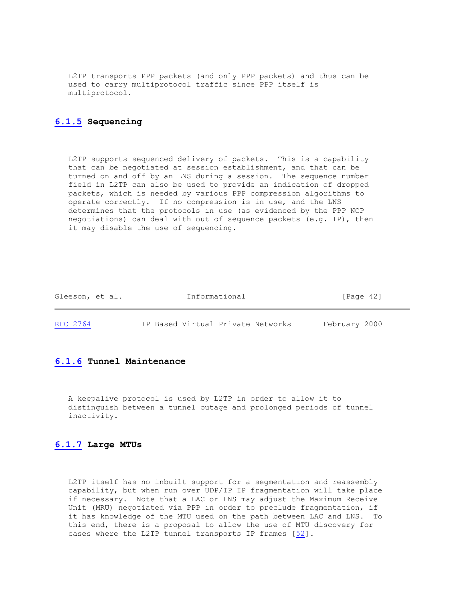L2TP transports PPP packets (and only PPP packets) and thus can be used to carry multiprotocol traffic since PPP itself is multiprotocol.

# **[6.1.5](https://tools.ietf.org/html/rfc2764#section-6.1.5) Sequencing**

 L2TP supports sequenced delivery of packets. This is a capability that can be negotiated at session establishment, and that can be turned on and off by an LNS during a session. The sequence number field in L2TP can also be used to provide an indication of dropped packets, which is needed by various PPP compression algorithms to operate correctly. If no compression is in use, and the LNS determines that the protocols in use (as evidenced by the PPP NCP negotiations) can deal with out of sequence packets (e.g. IP), then it may disable the use of sequencing.

| Gleeson, et al. | Informational                     | [Page 42]     |
|-----------------|-----------------------------------|---------------|
| RFC 2764        | IP Based Virtual Private Networks | February 2000 |

#### **[6.1.6](https://tools.ietf.org/html/rfc2764#section-6.1.6) Tunnel Maintenance**

 A keepalive protocol is used by L2TP in order to allow it to distinguish between a tunnel outage and prolonged periods of tunnel inactivity.

#### **[6.1.7](https://tools.ietf.org/html/rfc2764#section-6.1.7) Large MTUs**

 L2TP itself has no inbuilt support for a segmentation and reassembly capability, but when run over UDP/IP IP fragmentation will take place if necessary. Note that a LAC or LNS may adjust the Maximum Receive Unit (MRU) negotiated via PPP in order to preclude fragmentation, if it has knowledge of the MTU used on the path between LAC and LNS. To this end, there is a proposal to allow the use of MTU discovery for cases where the L2TP tunnel transports IP frames [\[52\]](https://tools.ietf.org/html/rfc2764#ref-52).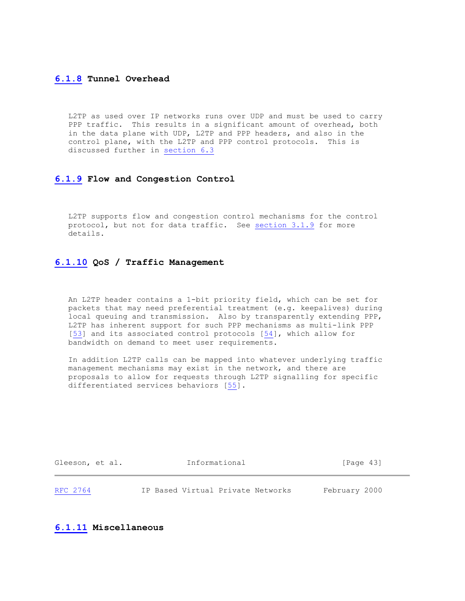#### **[6.1.8](https://tools.ietf.org/html/rfc2764#section-6.1.8) Tunnel Overhead**

 L2TP as used over IP networks runs over UDP and must be used to carry PPP traffic. This results in a significant amount of overhead, both in the data plane with UDP, L2TP and PPP headers, and also in the control plane, with the L2TP and PPP control protocols. This is discussed further in [section 6.3](https://tools.ietf.org/html/rfc2764#section-6.3)

#### **[6.1.9](https://tools.ietf.org/html/rfc2764#section-6.1.9) Flow and Congestion Control**

 L2TP supports flow and congestion control mechanisms for the control protocol, but not for data traffic. See [section 3.1.9](https://tools.ietf.org/html/rfc2764#section-3.1.9) for more details.

#### **[6.1.10](https://tools.ietf.org/html/rfc2764#section-6.1.10) QoS / Traffic Management**

 An L2TP header contains a 1-bit priority field, which can be set for packets that may need preferential treatment (e.g. keepalives) during local queuing and transmission. Also by transparently extending PPP, L2TP has inherent support for such PPP mechanisms as multi-link PPP [\[53\]](https://tools.ietf.org/html/rfc2764#ref-53) and its associated control protocols [\[54\]](https://tools.ietf.org/html/rfc2764#ref-54), which allow for bandwidth on demand to meet user requirements.

 In addition L2TP calls can be mapped into whatever underlying traffic management mechanisms may exist in the network, and there are proposals to allow for requests through L2TP signalling for specific differentiated services behaviors [\[55\]](https://tools.ietf.org/html/rfc2764#ref-55).

| Gleeson, et al. |  | Informational                     | [Page 43]     |  |
|-----------------|--|-----------------------------------|---------------|--|
| RFC 2764        |  | IP Based Virtual Private Networks | February 2000 |  |

#### **[6.1.11](https://tools.ietf.org/html/rfc2764#section-6.1.11) Miscellaneous**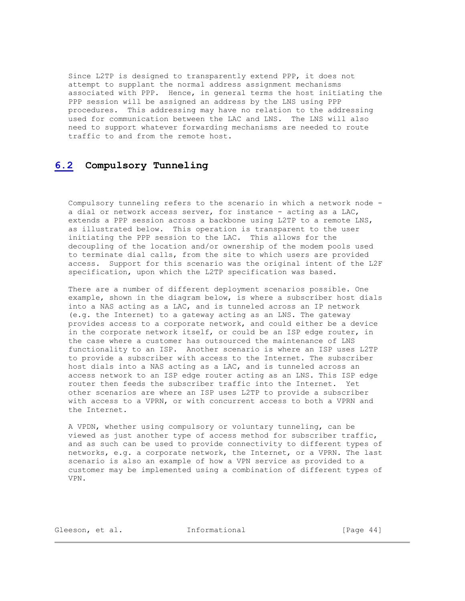Since L2TP is designed to transparently extend PPP, it does not attempt to supplant the normal address assignment mechanisms associated with PPP. Hence, in general terms the host initiating the PPP session will be assigned an address by the LNS using PPP procedures. This addressing may have no relation to the addressing used for communication between the LAC and LNS. The LNS will also need to support whatever forwarding mechanisms are needed to route traffic to and from the remote host.

# **[6.2](https://tools.ietf.org/html/rfc2764#section-6.2) Compulsory Tunneling**

 Compulsory tunneling refers to the scenario in which a network node a dial or network access server, for instance - acting as a LAC, extends a PPP session across a backbone using L2TP to a remote LNS, as illustrated below. This operation is transparent to the user initiating the PPP session to the LAC. This allows for the decoupling of the location and/or ownership of the modem pools used to terminate dial calls, from the site to which users are provided access. Support for this scenario was the original intent of the L2F specification, upon which the L2TP specification was based.

 There are a number of different deployment scenarios possible. One example, shown in the diagram below, is where a subscriber host dials into a NAS acting as a LAC, and is tunneled across an IP network (e.g. the Internet) to a gateway acting as an LNS. The gateway provides access to a corporate network, and could either be a device in the corporate network itself, or could be an ISP edge router, in the case where a customer has outsourced the maintenance of LNS functionality to an ISP. Another scenario is where an ISP uses L2TP to provide a subscriber with access to the Internet. The subscriber host dials into a NAS acting as a LAC, and is tunneled across an access network to an ISP edge router acting as an LNS. This ISP edge router then feeds the subscriber traffic into the Internet. Yet other scenarios are where an ISP uses L2TP to provide a subscriber with access to a VPRN, or with concurrent access to both a VPRN and the Internet.

 A VPDN, whether using compulsory or voluntary tunneling, can be viewed as just another type of access method for subscriber traffic, and as such can be used to provide connectivity to different types of networks, e.g. a corporate network, the Internet, or a VPRN. The last scenario is also an example of how a VPN service as provided to a customer may be implemented using a combination of different types of VPN.

Gleeson, et al. **Informational** [Page 44]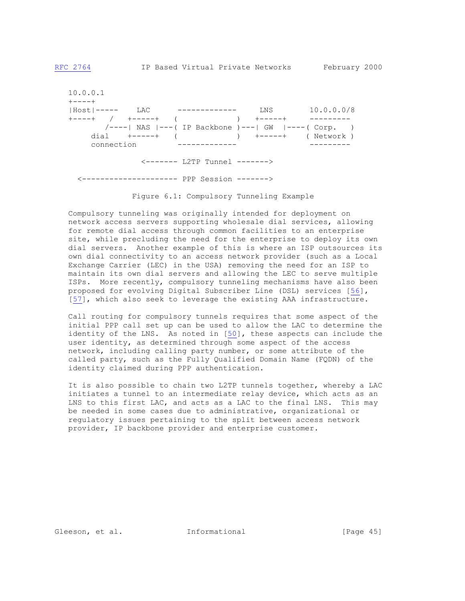10.0.0.1  $+ - - - +$  |Host|----- LAC ------------- LNS 10.0.0.0/8 +----+ / +-----+ ( ) +-----+ --------- /----| NAS |---( IP Backbone )---| GW |----( Corp. ) dial +-----+ ( ) +-----+ ( Network ) connection ------------- --------- <------- L2TP Tunnel -------> <--------------------- PPP Session ------->

Figure 6.1: Compulsory Tunneling Example

 Compulsory tunneling was originally intended for deployment on network access servers supporting wholesale dial services, allowing for remote dial access through common facilities to an enterprise site, while precluding the need for the enterprise to deploy its own dial servers. Another example of this is where an ISP outsources its own dial connectivity to an access network provider (such as a Local Exchange Carrier (LEC) in the USA) removing the need for an ISP to maintain its own dial servers and allowing the LEC to serve multiple ISPs. More recently, compulsory tunneling mechanisms have also been proposed for evolving Digital Subscriber Line (DSL) services [\[56\]](https://tools.ietf.org/html/rfc2764#ref-56), [\[57\]](https://tools.ietf.org/html/rfc2764#ref-57), which also seek to leverage the existing AAA infrastructure.

 Call routing for compulsory tunnels requires that some aspect of the initial PPP call set up can be used to allow the LAC to determine the identity of the LNS. As noted in [\[50\]](https://tools.ietf.org/html/rfc2764#ref-50), these aspects can include the user identity, as determined through some aspect of the access network, including calling party number, or some attribute of the called party, such as the Fully Qualified Domain Name (FQDN) of the identity claimed during PPP authentication.

 It is also possible to chain two L2TP tunnels together, whereby a LAC initiates a tunnel to an intermediate relay device, which acts as an LNS to this first LAC, and acts as a LAC to the final LNS. This may be needed in some cases due to administrative, organizational or regulatory issues pertaining to the split between access network provider, IP backbone provider and enterprise customer.

Gleeson, et al. **Informational** [Page 45]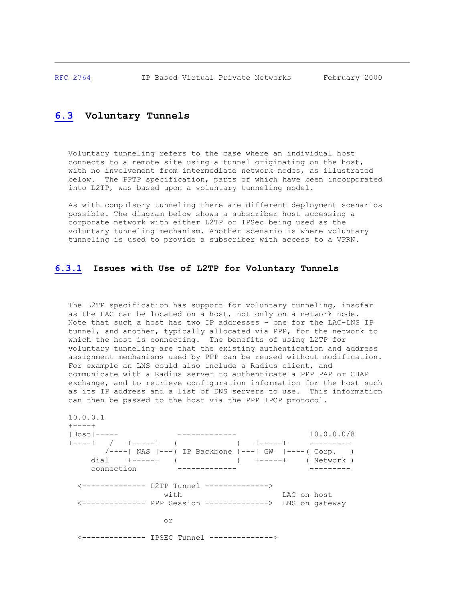# **[6.3](https://tools.ietf.org/html/rfc2764#section-6.3) Voluntary Tunnels**

 Voluntary tunneling refers to the case where an individual host connects to a remote site using a tunnel originating on the host, with no involvement from intermediate network nodes, as illustrated below. The PPTP specification, parts of which have been incorporated into L2TP, was based upon a voluntary tunneling model.

 As with compulsory tunneling there are different deployment scenarios possible. The diagram below shows a subscriber host accessing a corporate network with either L2TP or IPSec being used as the voluntary tunneling mechanism. Another scenario is where voluntary tunneling is used to provide a subscriber with access to a VPRN.

#### **[6.3.1](https://tools.ietf.org/html/rfc2764#section-6.3.1) Issues with Use of L2TP for Voluntary Tunnels**

The L2TP specification has support for voluntary tunneling, insofar as the LAC can be located on a host, not only on a network node. Note that such a host has two IP addresses - one for the LAC-LNS IP tunnel, and another, typically allocated via PPP, for the network to which the host is connecting. The benefits of using L2TP for voluntary tunneling are that the existing authentication and address assignment mechanisms used by PPP can be reused without modification. For example an LNS could also include a Radius client, and communicate with a Radius server to authenticate a PPP PAP or CHAP exchange, and to retrieve configuration information for the host such as its IP address and a list of DNS servers to use. This information can then be passed to the host via the PPP IPCP protocol.

```
 10.0.0.1
  +----+<br>|Host|-----
 |Host|----- ------------- 10.0.0.0/8
 +----+ / +-----+ ( ) +-----+ ---------
       /----| NAS |---( IP Backbone )---| GW |----( Corp. )
       dial +-----+ ( ) +-----+ ( Network )
                      connection ------------- ---------
    <-------------- L2TP Tunnel -------------->
                                         LAC on host
     <-------------- PPP Session --------------> LNS on gateway
 or
    <-------------- IPSEC Tunnel -------------->
```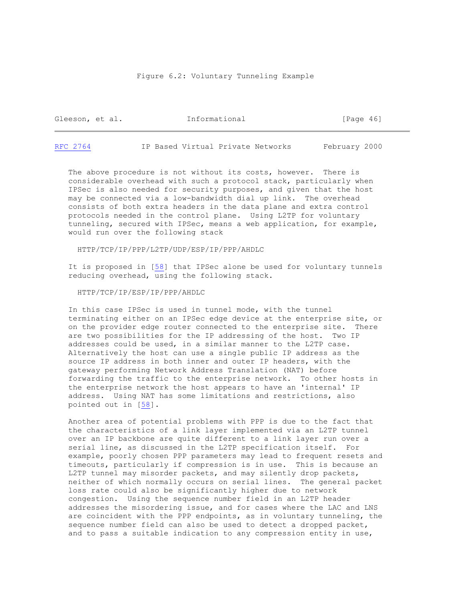#### Figure 6.2: Voluntary Tunneling Example

| Gleeson, et al. | Informational | [Page 46] |  |
|-----------------|---------------|-----------|--|
|                 |               |           |  |

[RFC 2764](https://tools.ietf.org/html/rfc2764) IP Based Virtual Private Networks February 2000

 The above procedure is not without its costs, however. There is considerable overhead with such a protocol stack, particularly when IPSec is also needed for security purposes, and given that the host may be connected via a low-bandwidth dial up link. The overhead consists of both extra headers in the data plane and extra control protocols needed in the control plane. Using L2TP for voluntary tunneling, secured with IPSec, means a web application, for example, would run over the following stack

HTTP/TCP/IP/PPP/L2TP/UDP/ESP/IP/PPP/AHDLC

 It is proposed in [\[58\]](https://tools.ietf.org/html/rfc2764#ref-58) that IPSec alone be used for voluntary tunnels reducing overhead, using the following stack.

HTTP/TCP/IP/ESP/IP/PPP/AHDLC

 In this case IPSec is used in tunnel mode, with the tunnel terminating either on an IPSec edge device at the enterprise site, or on the provider edge router connected to the enterprise site. There are two possibilities for the IP addressing of the host. Two IP addresses could be used, in a similar manner to the L2TP case. Alternatively the host can use a single public IP address as the source IP address in both inner and outer IP headers, with the gateway performing Network Address Translation (NAT) before forwarding the traffic to the enterprise network. To other hosts in the enterprise network the host appears to have an 'internal' IP address. Using NAT has some limitations and restrictions, also pointed out in [\[58\]](https://tools.ietf.org/html/rfc2764#ref-58).

 Another area of potential problems with PPP is due to the fact that the characteristics of a link layer implemented via an L2TP tunnel over an IP backbone are quite different to a link layer run over a serial line, as discussed in the L2TP specification itself. For example, poorly chosen PPP parameters may lead to frequent resets and timeouts, particularly if compression is in use. This is because an L2TP tunnel may misorder packets, and may silently drop packets, neither of which normally occurs on serial lines. The general packet loss rate could also be significantly higher due to network congestion. Using the sequence number field in an L2TP header addresses the misordering issue, and for cases where the LAC and LNS are coincident with the PPP endpoints, as in voluntary tunneling, the sequence number field can also be used to detect a dropped packet, and to pass a suitable indication to any compression entity in use,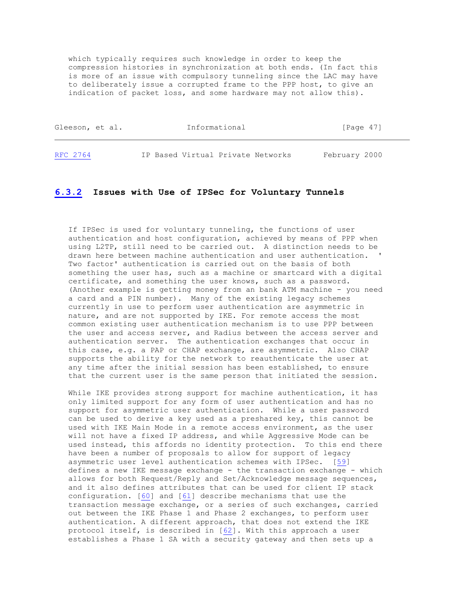which typically requires such knowledge in order to keep the compression histories in synchronization at both ends. (In fact this is more of an issue with compulsory tunneling since the LAC may have to deliberately issue a corrupted frame to the PPP host, to give an indication of packet loss, and some hardware may not allow this).

| Gleeson, et al. |  | Informational                     | Page 47       |
|-----------------|--|-----------------------------------|---------------|
| RFC 2764        |  | IP Based Virtual Private Networks | February 2000 |

#### **[6.3.2](https://tools.ietf.org/html/rfc2764#section-6.3.2) Issues with Use of IPSec for Voluntary Tunnels**

 If IPSec is used for voluntary tunneling, the functions of user authentication and host configuration, achieved by means of PPP when using L2TP, still need to be carried out. A distinction needs to be drawn here between machine authentication and user authentication. ' Two factor' authentication is carried out on the basis of both something the user has, such as a machine or smartcard with a digital certificate, and something the user knows, such as a password. (Another example is getting money from an bank ATM machine - you need a card and a PIN number). Many of the existing legacy schemes currently in use to perform user authentication are asymmetric in nature, and are not supported by IKE. For remote access the most common existing user authentication mechanism is to use PPP between the user and access server, and Radius between the access server and authentication server. The authentication exchanges that occur in this case, e.g. a PAP or CHAP exchange, are asymmetric. Also CHAP supports the ability for the network to reauthenticate the user at any time after the initial session has been established, to ensure that the current user is the same person that initiated the session.

 While IKE provides strong support for machine authentication, it has only limited support for any form of user authentication and has no support for asymmetric user authentication. While a user password can be used to derive a key used as a preshared key, this cannot be used with IKE Main Mode in a remote access environment, as the user will not have a fixed IP address, and while Aggressive Mode can be used instead, this affords no identity protection. To this end there have been a number of proposals to allow for support of legacy asymmetric user level authentication schemes with IPSec. [\[59\]](https://tools.ietf.org/html/rfc2764#ref-59) defines a new IKE message exchange - the transaction exchange - which allows for both Request/Reply and Set/Acknowledge message sequences, and it also defines attributes that can be used for client IP stack configuration. [\[60\]](https://tools.ietf.org/html/rfc2764#ref-60) and [\[61\]](https://tools.ietf.org/html/rfc2764#ref-61) describe mechanisms that use the transaction message exchange, or a series of such exchanges, carried out between the IKE Phase 1 and Phase 2 exchanges, to perform user authentication. A different approach, that does not extend the IKE protocol itself, is described in [\[62\]](https://tools.ietf.org/html/rfc2764#ref-62). With this approach a user establishes a Phase 1 SA with a security gateway and then sets up a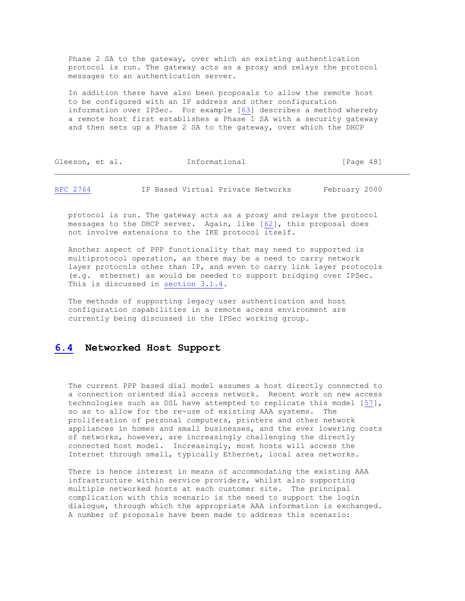Phase 2 SA to the gateway, over which an existing authentication protocol is run. The gateway acts as a proxy and relays the protocol messages to an authentication server.

 In addition there have also been proposals to allow the remote host to be configured with an IP address and other configuration information over IPSec. For example [\[63\]](https://tools.ietf.org/html/rfc2764#ref-63) describes a method whereby a remote host first establishes a Phase 1 SA with a security gateway and then sets up a Phase 2 SA to the gateway, over which the DHCP

| Gleeson, et al. |  | Informational | [Page 48] |  |
|-----------------|--|---------------|-----------|--|
|                 |  |               |           |  |

[RFC 2764](https://tools.ietf.org/html/rfc2764) IP Based Virtual Private Networks February 2000

 protocol is run. The gateway acts as a proxy and relays the protocol messages to the DHCP server. Again, like [\[62\]](https://tools.ietf.org/html/rfc2764#ref-62), this proposal does not involve extensions to the IKE protocol itself.

 Another aspect of PPP functionality that may need to supported is multiprotocol operation, as there may be a need to carry network layer protocols other than IP, and even to carry link layer protocols (e.g. ethernet) as would be needed to support bridging over IPSec. This is discussed in [section 3.1.4.](https://tools.ietf.org/html/rfc2764#section-3.1.4)

 The methods of supporting legacy user authentication and host configuration capabilities in a remote access environment are currently being discussed in the IPSec working group.

# **[6.4](https://tools.ietf.org/html/rfc2764#section-6.4) Networked Host Support**

 The current PPP based dial model assumes a host directly connected to a connection oriented dial access network. Recent work on new access technologies such as DSL have attempted to replicate this model [\[57\]](https://tools.ietf.org/html/rfc2764#ref-57), so as to allow for the re-use of existing AAA systems. The proliferation of personal computers, printers and other network appliances in homes and small businesses, and the ever lowering costs of networks, however, are increasingly challenging the directly connected host model. Increasingly, most hosts will access the Internet through small, typically Ethernet, local area networks.

 There is hence interest in means of accommodating the existing AAA infrastructure within service providers, whilst also supporting multiple networked hosts at each customer site. The principal complication with this scenario is the need to support the login dialogue, through which the appropriate AAA information is exchanged. A number of proposals have been made to address this scenario: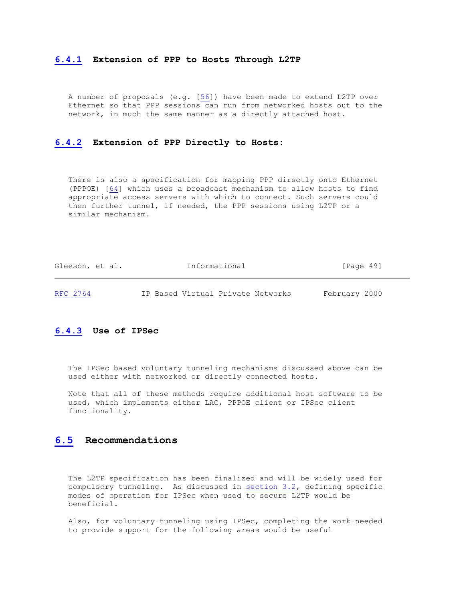#### **[6.4.1](https://tools.ietf.org/html/rfc2764#section-6.4.1) Extension of PPP to Hosts Through L2TP**

 A number of proposals (e.g. [\[56\]](https://tools.ietf.org/html/rfc2764#ref-56)) have been made to extend L2TP over Ethernet so that PPP sessions can run from networked hosts out to the network, in much the same manner as a directly attached host.

#### **[6.4.2](https://tools.ietf.org/html/rfc2764#section-6.4.2) Extension of PPP Directly to Hosts:**

 There is also a specification for mapping PPP directly onto Ethernet (PPPOE) [\[64\]](https://tools.ietf.org/html/rfc2764#ref-64) which uses a broadcast mechanism to allow hosts to find appropriate access servers with which to connect. Such servers could then further tunnel, if needed, the PPP sessions using L2TP or a similar mechanism.

| Gleeson, et al. | Informational                     | [Paqe 49]     |
|-----------------|-----------------------------------|---------------|
| RFC 2764        | IP Based Virtual Private Networks | February 2000 |

#### **[6.4.3](https://tools.ietf.org/html/rfc2764#section-6.4.3) Use of IPSec**

 The IPSec based voluntary tunneling mechanisms discussed above can be used either with networked or directly connected hosts.

 Note that all of these methods require additional host software to be used, which implements either LAC, PPPOE client or IPSec client functionality.

#### **[6.5](https://tools.ietf.org/html/rfc2764#section-6.5) Recommendations**

 The L2TP specification has been finalized and will be widely used for compulsory tunneling. As discussed in [section 3.2,](https://tools.ietf.org/html/rfc2764#section-3.2) defining specific modes of operation for IPSec when used to secure L2TP would be beneficial.

 Also, for voluntary tunneling using IPSec, completing the work needed to provide support for the following areas would be useful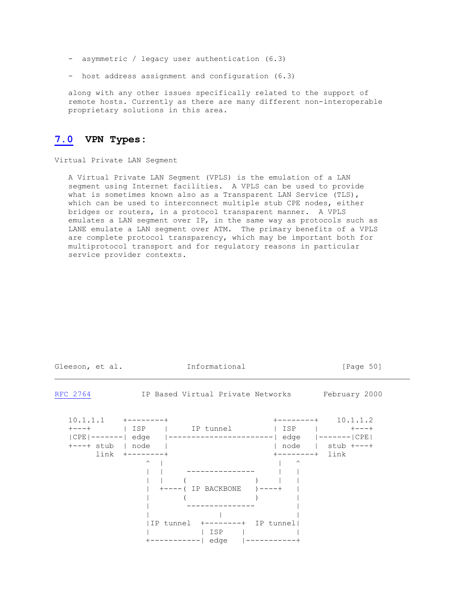- asymmetric / legacy user authentication (6.3)
- host address assignment and configuration (6.3)

 along with any other issues specifically related to the support of remote hosts. Currently as there are many different non-interoperable proprietary solutions in this area.

# **[7.0](https://tools.ietf.org/html/rfc2764#section-7.0) VPN Types:**

Virtual Private LAN Segment

 A Virtual Private LAN Segment (VPLS) is the emulation of a LAN segment using Internet facilities. A VPLS can be used to provide what is sometimes known also as a Transparent LAN Service (TLS), which can be used to interconnect multiple stub CPE nodes, either bridges or routers, in a protocol transparent manner. A VPLS emulates a LAN segment over IP, in the same way as protocols such as LANE emulate a LAN segment over ATM. The primary benefits of a VPLS are complete protocol transparency, which may be important both for multiprotocol transport and for regulatory reasons in particular service provider contexts.

| Gleeson, et al.                                                                | Informational                                                            |                                                                               | [Page 50] |
|--------------------------------------------------------------------------------|--------------------------------------------------------------------------|-------------------------------------------------------------------------------|-----------|
| RFC 2764                                                                       | IP Based Virtual Private Networks February 2000                          |                                                                               |           |
| $10.1.1.1 + --- --- +$<br>$+---+$ stub   node  <br>$link +------+$<br>$\wedge$ | $+---($ IP BACKBONE $) --- +$<br> IP tunnel +--------+ IP tunnel <br>ISP | $+$ --------+ 10.1.1.2<br>node   stub +---+<br>$+$ --------+ link<br>$\wedge$ |           |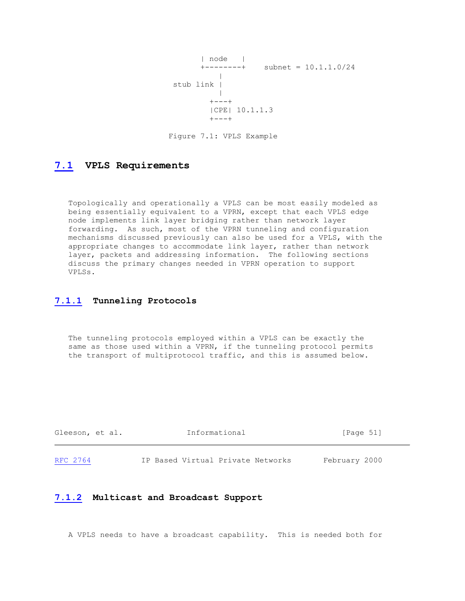```
 | node |
             +-----++ subnet = 10.1.1.0/24
 |
            stub link |
 |
 +---+
              |CPE| 10.1.1.3<br>+---+
 +---+
```
Figure 7.1: VPLS Example

# **[7.1](https://tools.ietf.org/html/rfc2764#section-7.1) VPLS Requirements**

 Topologically and operationally a VPLS can be most easily modeled as being essentially equivalent to a VPRN, except that each VPLS edge node implements link layer bridging rather than network layer forwarding. As such, most of the VPRN tunneling and configuration mechanisms discussed previously can also be used for a VPLS, with the appropriate changes to accommodate link layer, rather than network layer, packets and addressing information. The following sections discuss the primary changes needed in VPRN operation to support VPLSs.

# **[7.1.1](https://tools.ietf.org/html/rfc2764#section-7.1.1) Tunneling Protocols**

 The tunneling protocols employed within a VPLS can be exactly the same as those used within a VPRN, if the tunneling protocol permits the transport of multiprotocol traffic, and this is assumed below.

| Gleeson, et al. | Informational                     | [Page 51]     |
|-----------------|-----------------------------------|---------------|
| RFC 2764        | IP Based Virtual Private Networks | February 2000 |

#### **[7.1.2](https://tools.ietf.org/html/rfc2764#section-7.1.2) Multicast and Broadcast Support**

A VPLS needs to have a broadcast capability. This is needed both for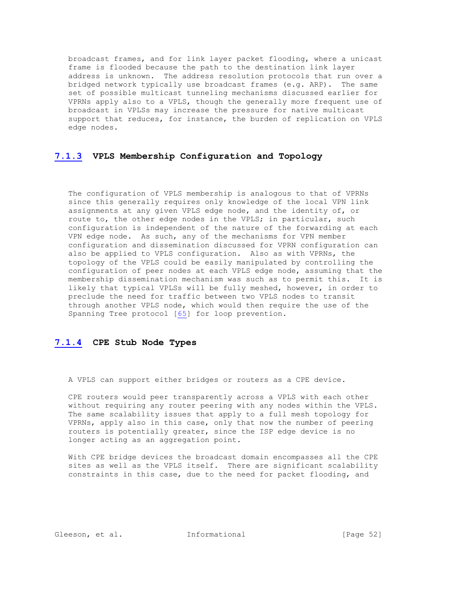broadcast frames, and for link layer packet flooding, where a unicast frame is flooded because the path to the destination link layer address is unknown. The address resolution protocols that run over a bridged network typically use broadcast frames (e.g. ARP). The same set of possible multicast tunneling mechanisms discussed earlier for VPRNs apply also to a VPLS, though the generally more frequent use of broadcast in VPLSs may increase the pressure for native multicast support that reduces, for instance, the burden of replication on VPLS edge nodes.

# **[7.1.3](https://tools.ietf.org/html/rfc2764#section-7.1.3) VPLS Membership Configuration and Topology**

 The configuration of VPLS membership is analogous to that of VPRNs since this generally requires only knowledge of the local VPN link assignments at any given VPLS edge node, and the identity of, or route to, the other edge nodes in the VPLS; in particular, such configuration is independent of the nature of the forwarding at each VPN edge node. As such, any of the mechanisms for VPN member configuration and dissemination discussed for VPRN configuration can also be applied to VPLS configuration. Also as with VPRNs, the topology of the VPLS could be easily manipulated by controlling the configuration of peer nodes at each VPLS edge node, assuming that the membership dissemination mechanism was such as to permit this. It is likely that typical VPLSs will be fully meshed, however, in order to preclude the need for traffic between two VPLS nodes to transit through another VPLS node, which would then require the use of the Spanning Tree protocol [\[65\]](https://tools.ietf.org/html/rfc2764#ref-65) for loop prevention.

#### **[7.1.4](https://tools.ietf.org/html/rfc2764#section-7.1.4) CPE Stub Node Types**

A VPLS can support either bridges or routers as a CPE device.

 CPE routers would peer transparently across a VPLS with each other without requiring any router peering with any nodes within the VPLS. The same scalability issues that apply to a full mesh topology for VPRNs, apply also in this case, only that now the number of peering routers is potentially greater, since the ISP edge device is no longer acting as an aggregation point.

 With CPE bridge devices the broadcast domain encompasses all the CPE sites as well as the VPLS itself. There are significant scalability constraints in this case, due to the need for packet flooding, and

Gleeson, et al. **Informational** [Page 52]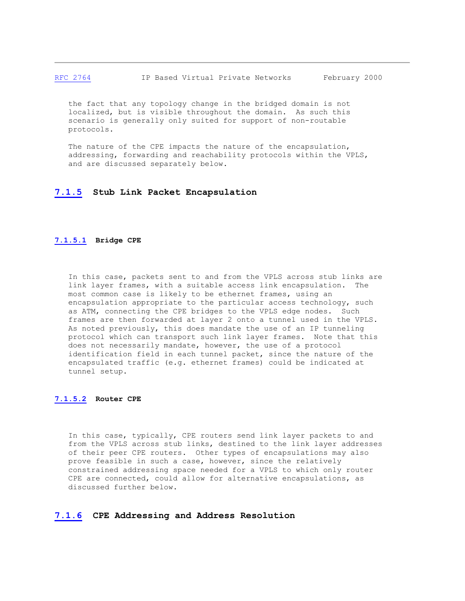#### [RFC 2764](https://tools.ietf.org/html/rfc2764) IP Based Virtual Private Networks February 2000

 the fact that any topology change in the bridged domain is not localized, but is visible throughout the domain. As such this scenario is generally only suited for support of non-routable protocols.

The nature of the CPE impacts the nature of the encapsulation, addressing, forwarding and reachability protocols within the VPLS, and are discussed separately below.

#### **[7.1.5](https://tools.ietf.org/html/rfc2764#section-7.1.5) Stub Link Packet Encapsulation**

#### **[7.1.5.1](https://tools.ietf.org/html/rfc2764#section-7.1.5.1) Bridge CPE**

 In this case, packets sent to and from the VPLS across stub links are link layer frames, with a suitable access link encapsulation. The most common case is likely to be ethernet frames, using an encapsulation appropriate to the particular access technology, such as ATM, connecting the CPE bridges to the VPLS edge nodes. Such frames are then forwarded at layer 2 onto a tunnel used in the VPLS. As noted previously, this does mandate the use of an IP tunneling protocol which can transport such link layer frames. Note that this does not necessarily mandate, however, the use of a protocol identification field in each tunnel packet, since the nature of the encapsulated traffic (e.g. ethernet frames) could be indicated at tunnel setup.

#### **[7.1.5.2](https://tools.ietf.org/html/rfc2764#section-7.1.5.2) Router CPE**

 In this case, typically, CPE routers send link layer packets to and from the VPLS across stub links, destined to the link layer addresses of their peer CPE routers. Other types of encapsulations may also prove feasible in such a case, however, since the relatively constrained addressing space needed for a VPLS to which only router CPE are connected, could allow for alternative encapsulations, as discussed further below.

#### **[7.1.6](https://tools.ietf.org/html/rfc2764#section-7.1.6) CPE Addressing and Address Resolution**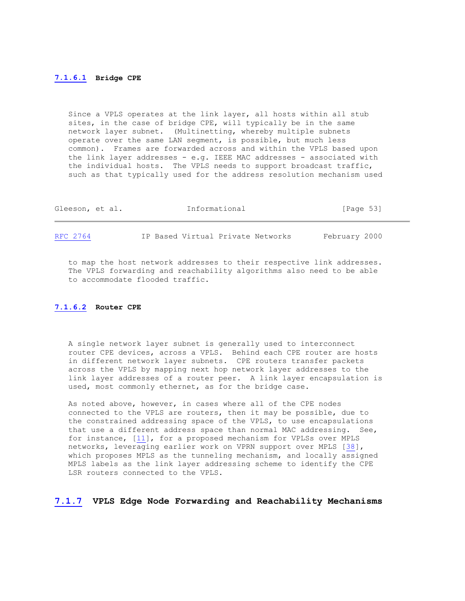#### **[7.1.6.1](https://tools.ietf.org/html/rfc2764#section-7.1.6.1) Bridge CPE**

 Since a VPLS operates at the link layer, all hosts within all stub sites, in the case of bridge CPE, will typically be in the same network layer subnet. (Multinetting, whereby multiple subnets operate over the same LAN segment, is possible, but much less common). Frames are forwarded across and within the VPLS based upon the link layer addresses - e.g. IEEE MAC addresses - associated with the individual hosts. The VPLS needs to support broadcast traffic, such as that typically used for the address resolution mechanism used

| Gleeson, et al. | Informational                     | [Page 53]     |
|-----------------|-----------------------------------|---------------|
| RFC 2764        | IP Based Virtual Private Networks | February 2000 |

 to map the host network addresses to their respective link addresses. The VPLS forwarding and reachability algorithms also need to be able to accommodate flooded traffic.

#### **[7.1.6.2](https://tools.ietf.org/html/rfc2764#section-7.1.6.2) Router CPE**

 A single network layer subnet is generally used to interconnect router CPE devices, across a VPLS. Behind each CPE router are hosts in different network layer subnets. CPE routers transfer packets across the VPLS by mapping next hop network layer addresses to the link layer addresses of a router peer. A link layer encapsulation is used, most commonly ethernet, as for the bridge case.

 As noted above, however, in cases where all of the CPE nodes connected to the VPLS are routers, then it may be possible, due to the constrained addressing space of the VPLS, to use encapsulations that use a different address space than normal MAC addressing. See, for instance, [\[11\]](https://tools.ietf.org/html/rfc2764#ref-11), for a proposed mechanism for VPLSs over MPLS networks, leveraging earlier work on VPRN support over MPLS [\[38\]](https://tools.ietf.org/html/rfc2764#ref-38), which proposes MPLS as the tunneling mechanism, and locally assigned MPLS labels as the link layer addressing scheme to identify the CPE LSR routers connected to the VPLS.

#### **[7.1.7](https://tools.ietf.org/html/rfc2764#section-7.1.7) VPLS Edge Node Forwarding and Reachability Mechanisms**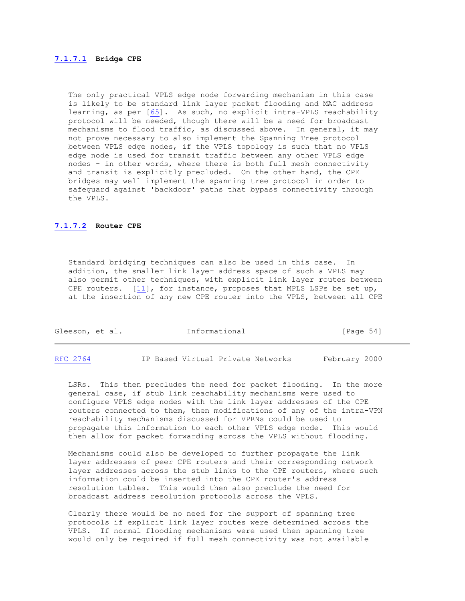#### **[7.1.7.1](https://tools.ietf.org/html/rfc2764#section-7.1.7.1) Bridge CPE**

 The only practical VPLS edge node forwarding mechanism in this case is likely to be standard link layer packet flooding and MAC address learning, as per [\[65\]](https://tools.ietf.org/html/rfc2764#ref-65). As such, no explicit intra-VPLS reachability protocol will be needed, though there will be a need for broadcast mechanisms to flood traffic, as discussed above. In general, it may not prove necessary to also implement the Spanning Tree protocol between VPLS edge nodes, if the VPLS topology is such that no VPLS edge node is used for transit traffic between any other VPLS edge nodes - in other words, where there is both full mesh connectivity and transit is explicitly precluded. On the other hand, the CPE bridges may well implement the spanning tree protocol in order to safeguard against 'backdoor' paths that bypass connectivity through the VPLS.

#### **[7.1.7.2](https://tools.ietf.org/html/rfc2764#section-7.1.7.2) Router CPE**

 Standard bridging techniques can also be used in this case. In addition, the smaller link layer address space of such a VPLS may also permit other techniques, with explicit link layer routes between CPE routers. [\[11\]](https://tools.ietf.org/html/rfc2764#ref-11), for instance, proposes that MPLS LSPs be set up, at the insertion of any new CPE router into the VPLS, between all CPE

| Gleeson, et al. |  | Informational | [Page 54] |  |
|-----------------|--|---------------|-----------|--|
|                 |  |               |           |  |

[RFC 2764](https://tools.ietf.org/html/rfc2764) IP Based Virtual Private Networks February 2000

 LSRs. This then precludes the need for packet flooding. In the more general case, if stub link reachability mechanisms were used to configure VPLS edge nodes with the link layer addresses of the CPE routers connected to them, then modifications of any of the intra-VPN reachability mechanisms discussed for VPRNs could be used to propagate this information to each other VPLS edge node. This would then allow for packet forwarding across the VPLS without flooding.

 Mechanisms could also be developed to further propagate the link layer addresses of peer CPE routers and their corresponding network layer addresses across the stub links to the CPE routers, where such information could be inserted into the CPE router's address resolution tables. This would then also preclude the need for broadcast address resolution protocols across the VPLS.

 Clearly there would be no need for the support of spanning tree protocols if explicit link layer routes were determined across the VPLS. If normal flooding mechanisms were used then spanning tree would only be required if full mesh connectivity was not available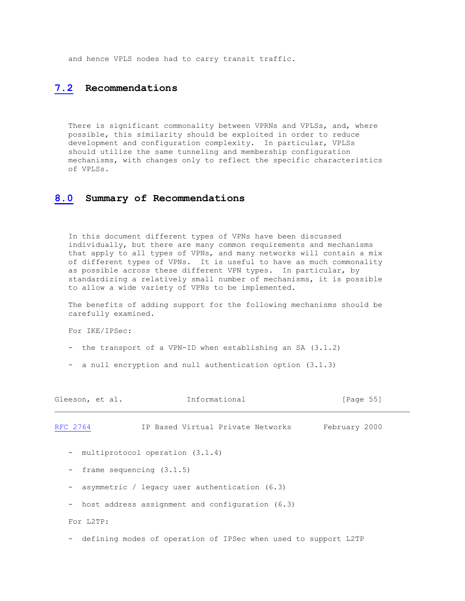and hence VPLS nodes had to carry transit traffic.

# **[7.2](https://tools.ietf.org/html/rfc2764#section-7.2) Recommendations**

There is significant commonality between VPRNs and VPLSs, and, where possible, this similarity should be exploited in order to reduce development and configuration complexity. In particular, VPLSs should utilize the same tunneling and membership configuration mechanisms, with changes only to reflect the specific characteristics of VPLSs.

#### **[8.0](https://tools.ietf.org/html/rfc2764#section-8.0) Summary of Recommendations**

 In this document different types of VPNs have been discussed individually, but there are many common requirements and mechanisms that apply to all types of VPNs, and many networks will contain a mix of different types of VPNs. It is useful to have as much commonality as possible across these different VPN types. In particular, by standardizing a relatively small number of mechanisms, it is possible to allow a wide variety of VPNs to be implemented.

 The benefits of adding support for the following mechanisms should be carefully examined.

For IKE/IPSec:

- the transport of a VPN-ID when establishing an SA  $(3.1.2)$
- a null encryption and null authentication option (3.1.3)

| Gleeson, et al.          | Informational                                                  | [Page 55]     |
|--------------------------|----------------------------------------------------------------|---------------|
| RFC 2764                 | IP Based Virtual Private Networks                              | February 2000 |
|                          | - multiprotocol operation (3.1.4)                              |               |
| $\qquad \qquad -$        | frame sequencing $(3.1.5)$                                     |               |
| $\overline{\phantom{0}}$ | asymmetric / legacy user authentication $(6.3)$                |               |
|                          | - host address assignment and configuration (6.3)              |               |
| For L2TP:                |                                                                |               |
| $\overline{\phantom{0}}$ | defining modes of operation of IPSec when used to support L2TP |               |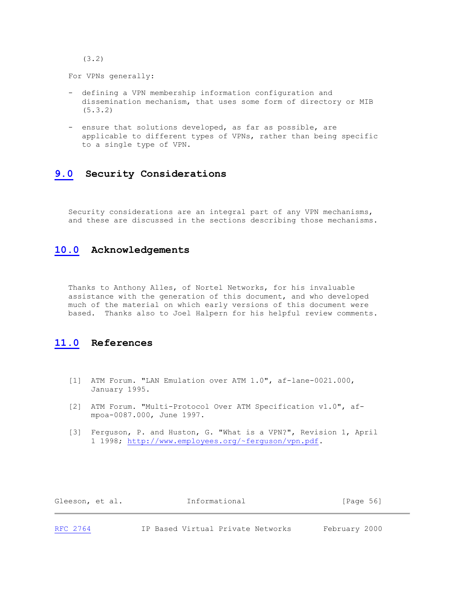(3.2)

For VPNs generally:

- defining a VPN membership information configuration and dissemination mechanism, that uses some form of directory or MIB (5.3.2)
- ensure that solutions developed, as far as possible, are applicable to different types of VPNs, rather than being specific to a single type of VPN.

# **[9.0](https://tools.ietf.org/html/rfc2764#section-9.0) Security Considerations**

 Security considerations are an integral part of any VPN mechanisms, and these are discussed in the sections describing those mechanisms.

# **[10.0](https://tools.ietf.org/html/rfc2764#section-10.0) Acknowledgements**

 Thanks to Anthony Alles, of Nortel Networks, for his invaluable assistance with the generation of this document, and who developed much of the material on which early versions of this document were based. Thanks also to Joel Halpern for his helpful review comments.

# **[11.0](https://tools.ietf.org/html/rfc2764#section-11.0) References**

- [1] ATM Forum. "LAN Emulation over ATM 1.0", af-lane-0021.000, January 1995.
- [2] ATM Forum. "Multi-Protocol Over ATM Specification v1.0", af mpoa-0087.000, June 1997.
- [3] Ferguson, P. and Huston, G. "What is a VPN?", Revision 1, April 1 1998; [http://www.employees.org/~ferguson/vpn.pdf.](http://www.employees.org/%7Eferguson/vpn.pdf)

| Gleeson, et al. | Informational | [Page 56] |
|-----------------|---------------|-----------|
|                 |               |           |

[RFC 2764](https://tools.ietf.org/html/rfc2764) IP Based Virtual Private Networks February 2000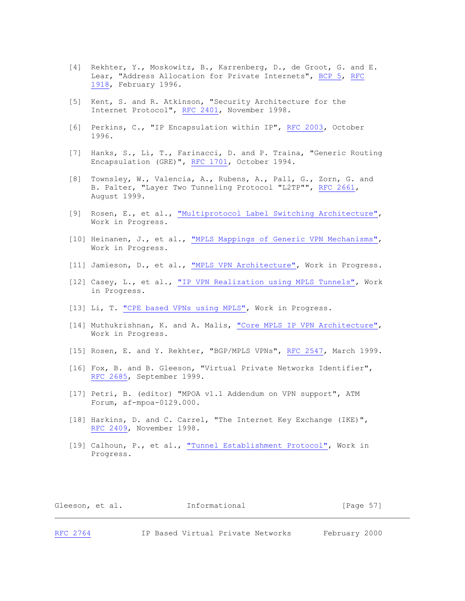- [4] Rekhter, Y., Moskowitz, B., Karrenberg, D., de Groot, G. and E. Lear, "Address Allocation for Private Internets", [BCP 5,](https://tools.ietf.org/html/bcp5) [RFC](https://tools.ietf.org/html/rfc1918) [1918,](https://tools.ietf.org/html/rfc1918) February 1996.
- [5] Kent, S. and R. Atkinson, "Security Architecture for the Internet Protocol", [RFC 2401,](https://tools.ietf.org/html/rfc2401) November 1998.
- [6] Perkins, C., "IP Encapsulation within IP", [RFC 2003,](https://tools.ietf.org/html/rfc2003) October 1996.
- [7] Hanks, S., Li, T., Farinacci, D. and P. Traina, "Generic Routing Encapsulation (GRE)", [RFC 1701,](https://tools.ietf.org/html/rfc1701) October 1994.
- [8] Townsley, W., Valencia, A., Rubens, A., Pall, G., Zorn, G. and B. Palter, "Layer Two Tunneling Protocol "L2TP"", [RFC 2661,](https://tools.ietf.org/html/rfc2661) August 1999.
- [9] Rosen, E., et al., ["Multiprotocol Label Switching Architecture",](https://www.google.com/search?sitesearch=tools.ietf.org%2Fhtml%2F&q=inurl:draft-+%22Multiprotocol+Label+Switching+Architecture%22) Work in Progress.
- [10] Heinanen, J., et al., ["MPLS Mappings of Generic VPN Mechanisms",](https://www.google.com/search?sitesearch=tools.ietf.org%2Fhtml%2F&q=inurl:draft-+%22MPLS+Mappings+of+Generic+VPN+Mechanisms%22) Work in Progress.
- [11] Jamieson, D., et al., ["MPLS VPN Architecture",](https://www.google.com/search?sitesearch=tools.ietf.org%2Fhtml%2F&q=inurl:draft-+%22MPLS+VPN+Architecture%22) Work in Progress.
- [12] Casey, L., et al., ["IP VPN Realization using MPLS Tunnels",](https://www.google.com/search?sitesearch=tools.ietf.org%2Fhtml%2F&q=inurl:draft-+%22IP+VPN+Realization+using+MPLS+Tunnels%22) Work in Progress.
- [13] Li, T. ["CPE based VPNs using MPLS",](https://www.google.com/search?sitesearch=tools.ietf.org%2Fhtml%2F&q=inurl:draft-+%22CPE+based+VPNs+using+MPLS%22) Work in Progress.
- [14] Muthukrishnan, K. and A. Malis, "Core MPLS IP [VPN Architecture",](https://www.google.com/search?sitesearch=tools.ietf.org%2Fhtml%2F&q=inurl:draft-+%22Core+MPLS+IP+VPN+Architecture%22) Work in Progress.
- [15] Rosen, E. and Y. Rekhter, "BGP/MPLS VPNs", [RFC 2547,](https://tools.ietf.org/html/rfc2547) March 1999.
- [16] Fox, B. and B. Gleeson, "Virtual Private Networks Identifier", [RFC 2685,](https://tools.ietf.org/html/rfc2685) September 1999.
- [17] Petri, B. (editor) "MPOA v1.1 Addendum on VPN support", ATM Forum, af-mpoa-0129.000.
- [18] Harkins, D. and C. Carrel, "The Internet Key Exchange (IKE)", [RFC 2409,](https://tools.ietf.org/html/rfc2409) November 1998.
- [19] Calhoun, P., et al., ["Tunnel Establishment Protocol",](https://www.google.com/search?sitesearch=tools.ietf.org%2Fhtml%2F&q=inurl:draft-+%22Tunnel+Establishment+Protocol%22) Work in Progress.

| Gleeson, et al. |  | Informational | [Page 57] |  |
|-----------------|--|---------------|-----------|--|
|                 |  |               |           |  |

[RFC 2764](https://tools.ietf.org/html/rfc2764) IP Based Virtual Private Networks February 2000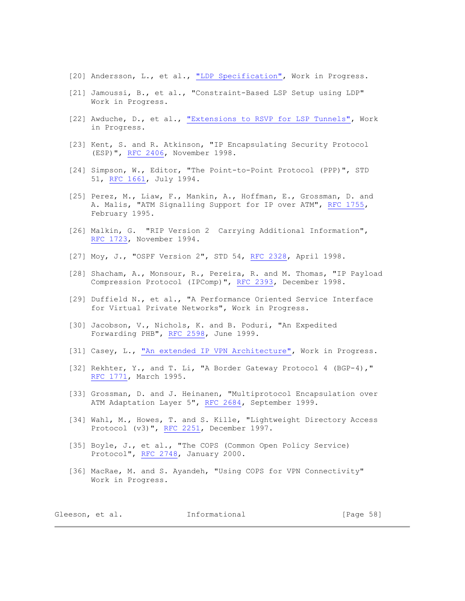- [20] Andersson, L., et al., ["LDP Specification",](https://www.google.com/search?sitesearch=tools.ietf.org%2Fhtml%2F&q=inurl:draft-+%22LDP+Specification%22) Work in Progress.
- [21] Jamoussi, B., et al., "Constraint-Based LSP Setup using LDP" Work in Progress.
- [22] Awduche, D., et al., ["Extensions to RSVP for LSP Tunnels",](https://www.google.com/search?sitesearch=tools.ietf.org%2Fhtml%2F&q=inurl:draft-+%22Extensions+to+RSVP+for+LSP+Tunnels%22) Work in Progress.
- [23] Kent, S. and R. Atkinson, "IP Encapsulating Security Protocol (ESP)", [RFC 2406,](https://tools.ietf.org/html/rfc2406) November 1998.
- [24] Simpson, W., Editor, "The Point-to-Point Protocol (PPP)", STD 51, [RFC 1661,](https://tools.ietf.org/html/rfc1661) July 1994.
- [25] Perez, M., Liaw, F., Mankin, A., Hoffman, E., Grossman, D. and A. Malis, "ATM Signalling Support for IP over ATM", [RFC 1755,](https://tools.ietf.org/html/rfc1755) February 1995.
- [26] Malkin, G. "RIP Version 2 Carrying Additional Information", [RFC 1723,](https://tools.ietf.org/html/rfc1723) November 1994.
- [27] Moy, J., "OSPF Version 2", STD 54, [RFC 2328,](https://tools.ietf.org/html/rfc2328) April 1998.
- [28] Shacham, A., Monsour, R., Pereira, R. and M. Thomas, "IP Payload Compression Protocol (IPComp)", [RFC 2393,](https://tools.ietf.org/html/rfc2393) December 1998.
- [29] Duffield N., et al., "A Performance Oriented Service Interface for Virtual Private Networks", Work in Progress.
- [30] Jacobson, V., Nichols, K. and B. Poduri, "An Expedited Forwarding PHB", [RFC 2598,](https://tools.ietf.org/html/rfc2598) June 1999.
- [31] Casey, L., ["An extended IP VPN Architecture",](https://www.google.com/search?sitesearch=tools.ietf.org%2Fhtml%2F&q=inurl:draft-+%22An+extended+IP+VPN+Architecture%22) Work in Progress.
- [32] Rekhter, Y., and T. Li, "A Border Gateway Protocol 4 (BGP-4)," [RFC 1771,](https://tools.ietf.org/html/rfc1771) March 1995.
- [33] Grossman, D. and J. Heinanen, "Multiprotocol Encapsulation over ATM Adaptation Layer 5", [RFC 2684,](https://tools.ietf.org/html/rfc2684) September 1999.
- [34] Wahl, M., Howes, T. and S. Kille, "Lightweight Directory Access Protocol (v3)", [RFC 2251,](https://tools.ietf.org/html/rfc2251) December 1997.
- [35] Boyle, J., et al., "The COPS (Common Open Policy Service) Protocol", [RFC 2748,](https://tools.ietf.org/html/rfc2748) January 2000.
- [36] MacRae, M. and S. Ayandeh, "Using COPS for VPN Connectivity" Work in Progress.

| Gleeson, et al. |  | Informational | [Page 58] |  |
|-----------------|--|---------------|-----------|--|
|                 |  |               |           |  |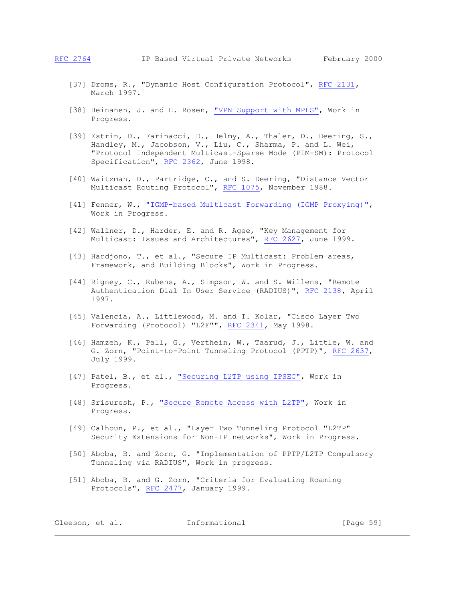- [37] Droms, R., "Dynamic Host Configuration Protocol", [RFC 2131,](https://tools.ietf.org/html/rfc2131) March 1997.
- [38] Heinanen, J. and E. Rosen, ["VPN Support with MPLS",](https://www.google.com/search?sitesearch=tools.ietf.org%2Fhtml%2F&q=inurl:draft-+%22VPN+Support+with+MPLS%22) Work in Progress.
- [39] Estrin, D., Farinacci, D., Helmy, A., Thaler, D., Deering, S., Handley, M., Jacobson, V., Liu, C., Sharma, P. and L. Wei, "Protocol Independent Multicast-Sparse Mode (PIM-SM): Protocol Specification", [RFC 2362,](https://tools.ietf.org/html/rfc2362) June 1998.
- [40] Waitzman, D., Partridge, C., and S. Deering, "Distance Vector Multicast Routing Protocol", [RFC 1075,](https://tools.ietf.org/html/rfc1075) November 1988.
- [41] Fenner, W., ["IGMP-based Multicast Forwarding \(IGMP Proxying\)",](https://www.google.com/search?sitesearch=tools.ietf.org%2Fhtml%2F&q=inurl:draft-+%22IGMP-based+Multicast+Forwarding+%28IGMP+Proxying%29%22) Work in Progress.
- [42] Wallner, D., Harder, E. and R. Agee, "Key Management for Multicast: Issues and Architectures", [RFC 2627,](https://tools.ietf.org/html/rfc2627) June 1999.
- [43] Hardjono, T., et al., "Secure IP Multicast: Problem areas, Framework, and Building Blocks", Work in Progress.
- [44] Rigney, C., Rubens, A., Simpson, W. and S. Willens, "Remote Authentication Dial In User Service (RADIUS)", [RFC 2138,](https://tools.ietf.org/html/rfc2138) April 1997.
- [45] Valencia, A., Littlewood, M. and T. Kolar, "Cisco Layer Two Forwarding (Protocol) "L2F"", [RFC 2341,](https://tools.ietf.org/html/rfc2341) May 1998.
- [46] Hamzeh, K., Pall, G., Verthein, W., Taarud, J., Little, W. and G. Zorn, "Point-to-Point Tunneling Protocol (PPTP)", [RFC 2637,](https://tools.ietf.org/html/rfc2637) July 1999.
- [47] Patel, B., et al., ["Securing L2TP using IPSEC",](https://www.google.com/search?sitesearch=tools.ietf.org%2Fhtml%2F&q=inurl:draft-+%22Securing+L2TP+using+IPSEC%22) Work in Progress.
- [48] Srisuresh, P., ["Secure Remote Access with L2TP",](https://www.google.com/search?sitesearch=tools.ietf.org%2Fhtml%2F&q=inurl:draft-+%22Secure+Remote+Access+with+L2TP%22) Work in Progress.
- [49] Calhoun, P., et al., "Layer Two Tunneling Protocol "L2TP" Security Extensions for Non-IP networks", Work in Progress.
- [50] Aboba, B. and Zorn, G. "Implementation of PPTP/L2TP Compulsory Tunneling via RADIUS", Work in progress.
- [51] Aboba, B. and G. Zorn, "Criteria for Evaluating Roaming Protocols", [RFC 2477,](https://tools.ietf.org/html/rfc2477) January 1999.

Gleeson, et al. 1nformational [Page 59]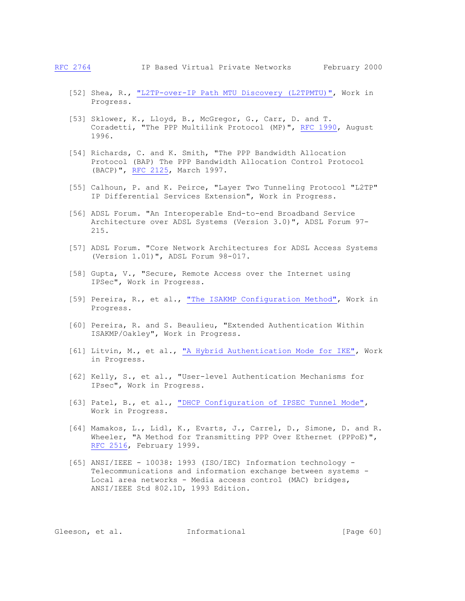- [52] Shea, R., ["L2TP-over-IP Path MTU](https://www.google.com/search?sitesearch=tools.ietf.org%2Fhtml%2F&q=inurl:draft-+%22L2TP-over-IP+Path+MTU+Discovery+%28L2TPMTU%29%22) Discovery (L2TPMTU)", Work in Progress.
- [53] Sklower, K., Lloyd, B., McGregor, G., Carr, D. and T. Coradetti, "The PPP Multilink Protocol (MP)", [RFC 1990,](https://tools.ietf.org/html/rfc1990) August 1996.
- [54] Richards, C. and K. Smith, "The PPP Bandwidth Allocation Protocol (BAP) The PPP Bandwidth Allocation Control Protocol (BACP)", [RFC 2125,](https://tools.ietf.org/html/rfc2125) March 1997.
- [55] Calhoun, P. and K. Peirce, "Layer Two Tunneling Protocol "L2TP" IP Differential Services Extension", Work in Progress.
- [56] ADSL Forum. "An Interoperable End-to-end Broadband Service Architecture over ADSL Systems (Version 3.0)", ADSL Forum 97- 215.
- [57] ADSL Forum. "Core Network Architectures for ADSL Access Systems (Version 1.01)", ADSL Forum 98-017.
- [58] Gupta, V., "Secure, Remote Access over the Internet using IPSec", Work in Progress.
- [59] Pereira, R., et al., ["The ISAKMP Configuration Method",](https://www.google.com/search?sitesearch=tools.ietf.org%2Fhtml%2F&q=inurl:draft-+%22The+ISAKMP+Configuration+Method%22) Work in Progress.
- [60] Pereira, R. and S. Beaulieu, "Extended Authentication Within ISAKMP/Oakley", Work in Progress.
- [61] Litvin, M., et al., ["A Hybrid Authentication Mode for IKE",](https://www.google.com/search?sitesearch=tools.ietf.org%2Fhtml%2F&q=inurl:draft-+%22A+Hybrid+Authentication+Mode+for+IKE%22) Work in Progress.
- [62] Kelly, S., et al., "User-level Authentication Mechanisms for IPsec", Work in Progress.
- [63] Patel, B., et al., ["DHCP Configuration of IPSEC Tunnel Mode",](https://www.google.com/search?sitesearch=tools.ietf.org%2Fhtml%2F&q=inurl:draft-+%22DHCP+Configuration+of+IPSEC+Tunnel+Mode%22) Work in Progress.
- [64] Mamakos, L., Lidl, K., Evarts, J., Carrel, D., Simone, D. and R. Wheeler, "A Method for Transmitting PPP Over Ethernet (PPPoE)", [RFC 2516,](https://tools.ietf.org/html/rfc2516) February 1999.
- [65] ANSI/IEEE 10038: 1993 (ISO/IEC) Information technology Telecommunications and information exchange between systems - Local area networks - Media access control (MAC) bridges, ANSI/IEEE Std 802.1D, 1993 Edition.

Gleeson, et al. **Informational** [Page 60]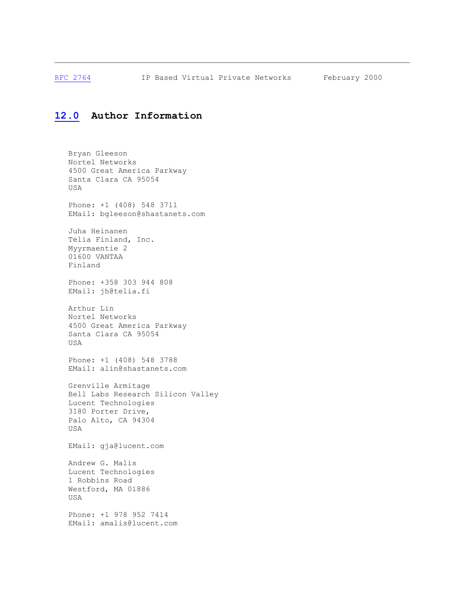[RFC 2764](https://tools.ietf.org/html/rfc2764) IP Based Virtual Private Networks February 2000

# **[12.0](https://tools.ietf.org/html/rfc2764#section-12.0) Author Information**

 Bryan Gleeson Nortel Networks 4500 Great America Parkway Santa Clara CA 95054 USA Phone: +1 (408) 548 3711 EMail: bgleeson@shastanets.com Juha Heinanen Telia Finland, Inc. Myyrmaentie 2 01600 VANTAA Finland Phone: +358 303 944 808 EMail: jh@telia.fi Arthur Lin Nortel Networks 4500 Great America Parkway Santa Clara CA 95054 USA Phone: +1 (408) 548 3788 EMail: alin@shastanets.com Grenville Armitage Bell Labs Research Silicon Valley Lucent Technologies 3180 Porter Drive, Palo Alto, CA 94304 USA EMail: gja@lucent.com Andrew G. Malis Lucent Technologies 1 Robbins Road Westford, MA 01886 USA Phone: +1 978 952 7414 EMail: amalis@lucent.com